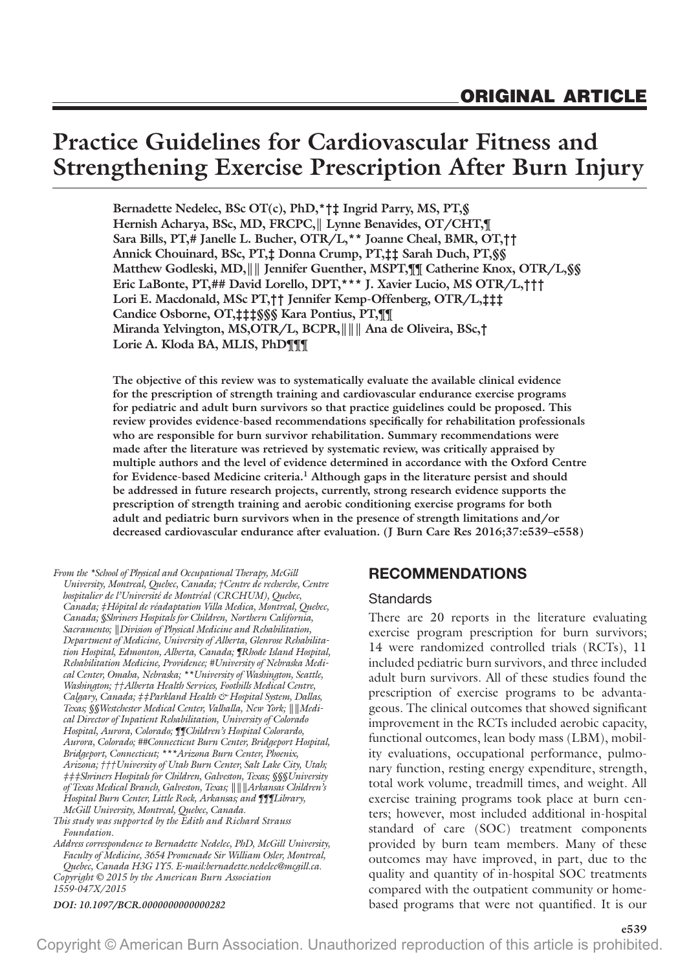# **Practice Guidelines for Cardiovascular Fitness and Strengthening Exercise Prescription After Burn Injury**

**Bernadette Nedelec, BSc OT(c), PhD,\*†‡ Ingrid Parry, MS, PT,§ Hernish Acharya, BSc, MD, FRCPC,║ Lynne Benavides, OT/CHT,¶ Sara Bills, PT,# Janelle L. Bucher, OTR/L,\*\* Joanne Cheal, BMR, OT,†† Annick Chouinard, BSc, PT,‡ Donna Crump, PT,‡‡ Sarah Duch, PT,§§ Matthew Godleski, MD,║║ Jennifer Guenther, MSPT,¶¶ Catherine Knox, OTR/L,§§ Eric LaBonte, PT,## David Lorello, DPT,\*\*\* J. Xavier Lucio, MS OTR/L,††† Lori E. Macdonald, MSc PT,†† Jennifer Kemp-Offenberg, OTR/L,‡‡‡ Candice Osborne, OT,‡‡‡§§§ Kara Pontius, PT,¶¶ Miranda Yelvington, MS,OTR/L, BCPR,║║║ Ana de Oliveira, BSc,† Lorie A. Kloda BA, MLIS, PhD¶¶¶**

**The objective of this review was to systematically evaluate the available clinical evidence for the prescription of strength training and cardiovascular endurance exercise programs for pediatric and adult burn survivors so that practice guidelines could be proposed. This review provides evidence-based recommendations specifically for rehabilitation professionals who are responsible for burn survivor rehabilitation. Summary recommendations were made after the literature was retrieved by systematic review, was critically appraised by multiple authors and the level of evidence determined in accordance with the Oxford Centre for Evidence-based Medicine criteria.1 Although gaps in the literature persist and should be addressed in future research projects, currently, strong research evidence supports the prescription of strength training and aerobic conditioning exercise programs for both adult and pediatric burn survivors when in the presence of strength limitations and/or decreased cardiovascular endurance after evaluation. (J Burn Care Res 2016;37:e539–e558)**

*From the \*School of Physical and Occupational Therapy, McGill University, Montreal, Quebec, Canada; †Centre de recherche, Centre hospitalier de l'Université de Montréal (CRCHUM), Quebec, Canada; ‡Hôpital de réadaptation Villa Medica, Montreal, Quebec, Canada; §Shriners Hospitals for Children, Northern California, Sacramento; ║Division of Physical Medicine and Rehabilitation, Department of Medicine, University of Alberta, Glenrose Rehabilitation Hospital, Edmonton, Alberta, Canada; ¶Rhode Island Hospital, Rehabilitation Medicine, Providence; #University of Nebraska Medical Center, Omaha, Nebraska; \*\*University of Washington, Seattle, Washington; ††Alberta Health Services, Foothills Medical Centre, Calgary, Canada; ‡‡Parkland Health & Hospital System, Dallas, Texas; §§Westchester Medical Center, Valhalla, New York; ║║Medical Director of Inpatient Rehabilitation, University of Colorado Hospital, Aurora, Colorado; ¶¶Children's Hospital Colorardo, Aurora, Colorado; ##Connecticut Burn Center, Bridgeport Hospital, Bridgeport, Connecticut; \*\*\*Arizona Burn Center, Phoenix, Arizona; †††University of Utah Burn Center, Salt Lake City, Utah; ‡‡‡Shriners Hospitals for Children, Galveston, Texas; §§§University of Texas Medical Branch, Galveston, Texas; ║║║Arkansas Children's Hospital Burn Center, Little Rock, Arkansas; and ¶¶¶Library, McGill University, Montreal, Quebec, Canada.*

*This study was supported by the Edith and Richard Strauss Foundation.*

*Copyright © 2015 by the American Burn Association 1559-047X/2015 Address correspondence to Bernadette Nedelec, PhD, McGill University, Faculty of Medicine, 3654 Promenade Sir William Osler, Montreal, Quebec, Canada H3G 1Y5. E-mail[:bernadette.nedelec@mcgill.ca](mailto:bernadette.nedelec@mcgill.ca).*

*DOI: 10.1097/BCR.0000000000000282*

#### **RECOMMENDATIONS**

#### **Standards**

There are 20 reports in the literature evaluating exercise program prescription for burn survivors; 14 were randomized controlled trials (RCTs), 11 included pediatric burn survivors, and three included adult burn survivors. All of these studies found the prescription of exercise programs to be advantageous. The clinical outcomes that showed significant improvement in the RCTs included aerobic capacity, functional outcomes, lean body mass (LBM), mobility evaluations, occupational performance, pulmonary function, resting energy expenditure, strength, total work volume, treadmill times, and weight. All exercise training programs took place at burn centers; however, most included additional in-hospital standard of care (SOC) treatment components provided by burn team members. Many of these outcomes may have improved, in part, due to the quality and quantity of in-hospital SOC treatments compared with the outpatient community or homebased programs that were not quantified. It is our

**e539**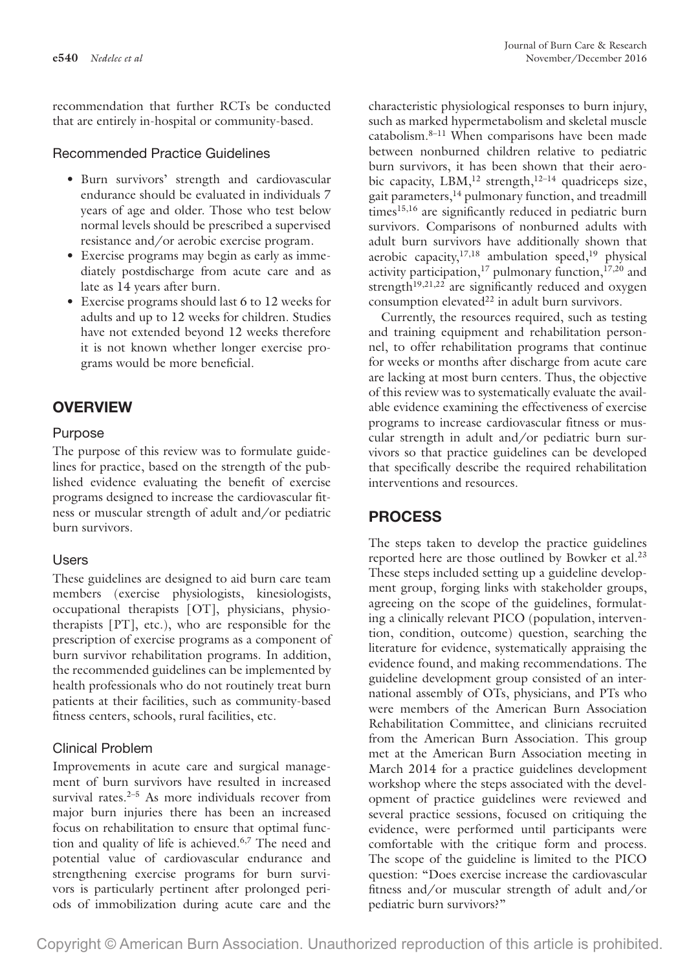recommendation that further RCTs be conducted that are entirely in-hospital or community-based.

#### Recommended Practice Guidelines

- Burn survivors' strength and cardiovascular endurance should be evaluated in individuals 7 years of age and older. Those who test below normal levels should be prescribed a supervised resistance and/or aerobic exercise program.
- Exercise programs may begin as early as immediately postdischarge from acute care and as late as 14 years after burn.
- Exercise programs should last 6 to 12 weeks for adults and up to 12 weeks for children. Studies have not extended beyond 12 weeks therefore it is not known whether longer exercise programs would be more beneficial.

# **OVERVIEW**

#### Purpose

The purpose of this review was to formulate guidelines for practice, based on the strength of the published evidence evaluating the benefit of exercise programs designed to increase the cardiovascular fitness or muscular strength of adult and/or pediatric burn survivors.

## Users

These guidelines are designed to aid burn care team members (exercise physiologists, kinesiologists, occupational therapists [OT], physicians, physiotherapists [PT], etc.), who are responsible for the prescription of exercise programs as a component of burn survivor rehabilitation programs. In addition, the recommended guidelines can be implemented by health professionals who do not routinely treat burn patients at their facilities, such as community-based fitness centers, schools, rural facilities, etc.

## Clinical Problem

Improvements in acute care and surgical management of burn survivors have resulted in increased survival rates. $2-5$  As more individuals recover from major burn injuries there has been an increased focus on rehabilitation to ensure that optimal function and quality of life is achieved.<sup>6,7</sup> The need and potential value of cardiovascular endurance and strengthening exercise programs for burn survivors is particularly pertinent after prolonged periods of immobilization during acute care and the

characteristic physiological responses to burn injury, such as marked hypermetabolism and skeletal muscle catabolism.8–11 When comparisons have been made between nonburned children relative to pediatric burn survivors, it has been shown that their aerobic capacity,  $LBM$ ,<sup>12</sup> strength,<sup>12-14</sup> quadriceps size, gait parameters,<sup>14</sup> pulmonary function, and treadmill times<sup>15,16</sup> are significantly reduced in pediatric burn survivors. Comparisons of nonburned adults with adult burn survivors have additionally shown that aerobic capacity, $17,18$  ambulation speed, $19$  physical activity participation,<sup>17</sup> pulmonary function, $17,20$  and strength $19,21,22$  are significantly reduced and oxygen consumption elevated $^{22}$  in adult burn survivors.

Currently, the resources required, such as testing and training equipment and rehabilitation personnel, to offer rehabilitation programs that continue for weeks or months after discharge from acute care are lacking at most burn centers. Thus, the objective of this review was to systematically evaluate the available evidence examining the effectiveness of exercise programs to increase cardiovascular fitness or muscular strength in adult and/or pediatric burn survivors so that practice guidelines can be developed that specifically describe the required rehabilitation interventions and resources.

# **PROCESS**

The steps taken to develop the practice guidelines reported here are those outlined by Bowker et al.<sup>23</sup> These steps included setting up a guideline development group, forging links with stakeholder groups, agreeing on the scope of the guidelines, formulating a clinically relevant PICO (population, intervention, condition, outcome) question, searching the literature for evidence, systematically appraising the evidence found, and making recommendations. The guideline development group consisted of an international assembly of OTs, physicians, and PTs who were members of the American Burn Association Rehabilitation Committee, and clinicians recruited from the American Burn Association. This group met at the American Burn Association meeting in March 2014 for a practice guidelines development workshop where the steps associated with the development of practice guidelines were reviewed and several practice sessions, focused on critiquing the evidence, were performed until participants were comfortable with the critique form and process. The scope of the guideline is limited to the PICO question: "Does exercise increase the cardiovascular fitness and/or muscular strength of adult and/or pediatric burn survivors?"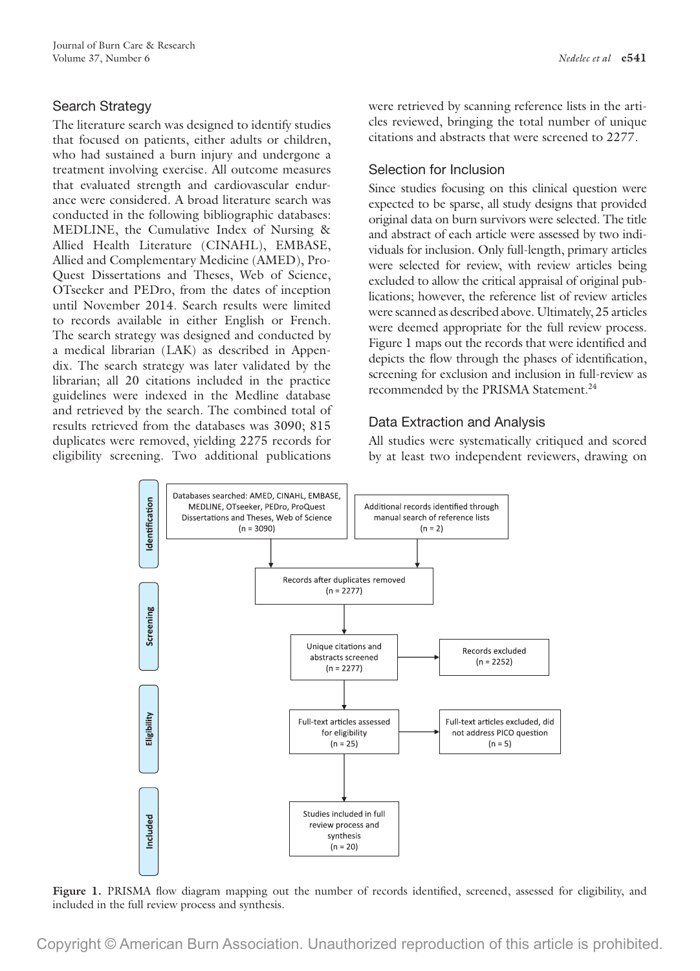# Search Strategy

The literature search was designed to identify studies that focused on patients, either adults or children, who had sustained a burn injury and undergone a treatment involving exercise. All outcome measures that evaluated strength and cardiovascular endurance were considered. A broad literature search was conducted in the following bibliographic databases: MEDLINE, the Cumulative Index of Nursing & Allied Health Literature (CINAHL), EMBASE, Allied and Complementary Medicine (AMED), Pro-Quest Dissertations and Theses, Web of Science, OTseeker and PEDro, from the dates of inception until November 2014. Search results were limited to records available in either English or French. The search strategy was designed and conducted by a medical librarian (LAK) as described in Appendix. The search strategy was later validated by the librarian; all 20 citations included in the practice guidelines were indexed in the Medline database and retrieved by the search. The combined total of results retrieved from the databases was 3090; 815 duplicates were removed, yielding 2275 records for eligibility screening. Two additional publications

were retrieved by scanning reference lists in the articles reviewed, bringing the total number of unique citations and abstracts that were screened to 2277.

# Selection for Inclusion

Since studies focusing on this clinical question were expected to be sparse, all study designs that provided original data on burn survivors were selected. The title and abstract of each article were assessed by two individuals for inclusion. Only full-length, primary articles were selected for review, with review articles being excluded to allow the critical appraisal of original publications; however, the reference list of review articles were scanned as described above. Ultimately, 25 articles were deemed appropriate for the full review process. Figure 1 maps out the records that were identified and depicts the flow through the phases of identification, screening for exclusion and inclusion in full-review as recommended by the PRISMA Statement.<sup>24</sup>

# Data Extraction and Analysis

All studies were systematically critiqued and scored by at least two independent reviewers, drawing on



Figure 1. PRISMA flow diagram mapping out the number of records identified, screened, assessed for eligibility, and included in the full review process and synthesis.

Copyright © American Burn Association. Unauthorized reproduction of this article is prohibited.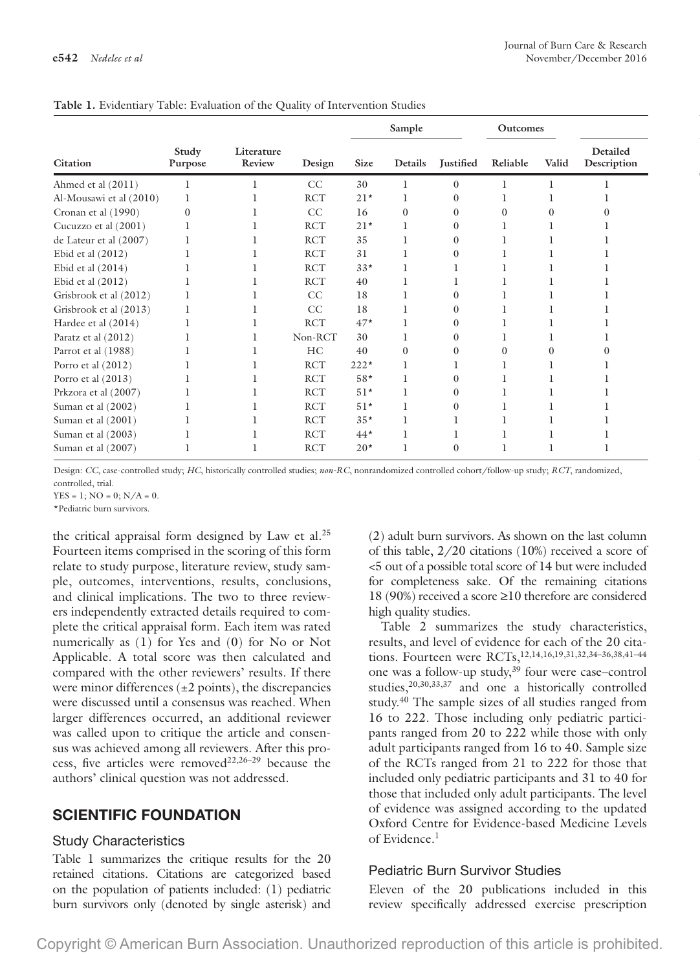|                         |                  |                      |            |              | Sample  |           | Outcomes |       |                         |
|-------------------------|------------------|----------------------|------------|--------------|---------|-----------|----------|-------|-------------------------|
| Citation                | Study<br>Purpose | Literature<br>Review | Design     | Size         | Details | Justified | Reliable | Valid | Detailed<br>Description |
| Ahmed et al (2011)      |                  |                      | CC         | 30           |         |           |          |       |                         |
| Al-Mousawi et al (2010) |                  |                      | <b>RCT</b> | $21*$        |         |           |          |       |                         |
| Cronan et al (1990)     |                  |                      | CC         | 16           |         | $\Omega$  |          |       |                         |
| Cucuzzo et al (2001)    |                  |                      | <b>RCT</b> | $21*$        |         |           |          |       |                         |
| de Lateur et al (2007)  |                  |                      | <b>RCT</b> | 35           |         |           |          |       |                         |
| Ebid et al (2012)       |                  |                      | <b>RCT</b> | $31\,$       |         |           |          |       |                         |
| Ebid et al (2014)       |                  |                      | <b>RCT</b> | $33*$        |         |           |          |       |                         |
| Ebid et al (2012)       |                  |                      | <b>RCT</b> | 40           |         |           |          |       |                         |
| Grisbrook et al (2012)  |                  |                      | CC         | 18           |         |           |          |       |                         |
| Grisbrook et al (2013)  |                  |                      | CC         | 18           |         |           |          |       |                         |
| Hardee et al (2014)     |                  |                      | <b>RCT</b> | $47*$        |         | $\Omega$  |          |       |                         |
| Paratz et al (2012)     |                  |                      | Non-RCT    | 30           |         |           |          |       |                         |
| Parrot et al (1988)     |                  |                      | HC         | 40           |         | $\Omega$  |          |       |                         |
| Porro et al (2012)      |                  |                      | <b>RCT</b> | $222*$       |         |           |          |       |                         |
| Porro et al (2013)      |                  |                      | <b>RCT</b> | $58*$        |         |           |          |       |                         |
| Prkzora et al (2007)    |                  |                      | <b>RCT</b> | $51^{\star}$ |         |           |          |       |                         |
| Suman et al (2002)      |                  |                      | <b>RCT</b> | $51*$        |         |           |          |       |                         |
| Suman et al (2001)      |                  |                      | <b>RCT</b> | $35*$        |         |           |          |       |                         |
| Suman et al (2003)      |                  |                      | <b>RCT</b> | $44*$        |         |           |          |       |                         |
| Suman et al (2007)      |                  |                      | <b>RCT</b> | $20*$        |         | $\Omega$  |          |       |                         |

**Table 1.** Evidentiary Table: Evaluation of the Quality of Intervention Studies

Design: *CC*, case-controlled study; *HC*, historically controlled studies; *non-RC*, nonrandomized controlled cohort/follow-up study; *RCT*, randomized, controlled, trial.

 $YES = 1$ ;  $NO = 0$ ;  $N/A = 0$ .

\*Pediatric burn survivors.

the critical appraisal form designed by Law et al.25 Fourteen items comprised in the scoring of this form relate to study purpose, literature review, study sample, outcomes, interventions, results, conclusions, and clinical implications. The two to three reviewers independently extracted details required to complete the critical appraisal form. Each item was rated numerically as (1) for Yes and (0) for No or Not Applicable. A total score was then calculated and compared with the other reviewers' results. If there were minor differences  $(\pm 2 \text{ points})$ , the discrepancies were discussed until a consensus was reached. When larger differences occurred, an additional reviewer was called upon to critique the article and consensus was achieved among all reviewers. After this process, five articles were removed<sup>22,26-29</sup> because the authors' clinical question was not addressed.

# **SCIENTIFIC FOUNDATION**

#### Study Characteristics

Table 1 summarizes the critique results for the 20 retained citations. Citations are categorized based on the population of patients included: (1) pediatric burn survivors only (denoted by single asterisk) and (2) adult burn survivors. As shown on the last column of this table, 2/20 citations (10%) received a score of <5 out of a possible total score of 14 but were included for completeness sake. Of the remaining citations 18 (90%) received a score ≥10 therefore are considered high quality studies.

Table 2 summarizes the study characteristics, results, and level of evidence for each of the 20 citations. Fourteen were RCTs,12,14,16,19,31,32,34–36,38,41–44 one was a follow-up study,39 four were case–control studies,20,30,33,37 and one a historically controlled study.<sup>40</sup> The sample sizes of all studies ranged from 16 to 222. Those including only pediatric participants ranged from 20 to 222 while those with only adult participants ranged from 16 to 40. Sample size of the RCTs ranged from 21 to 222 for those that included only pediatric participants and 31 to 40 for those that included only adult participants. The level of evidence was assigned according to the updated Oxford Centre for Evidence-based Medicine Levels of Evidence.<sup>1</sup>

## Pediatric Burn Survivor Studies

Eleven of the 20 publications included in this review specifically addressed exercise prescription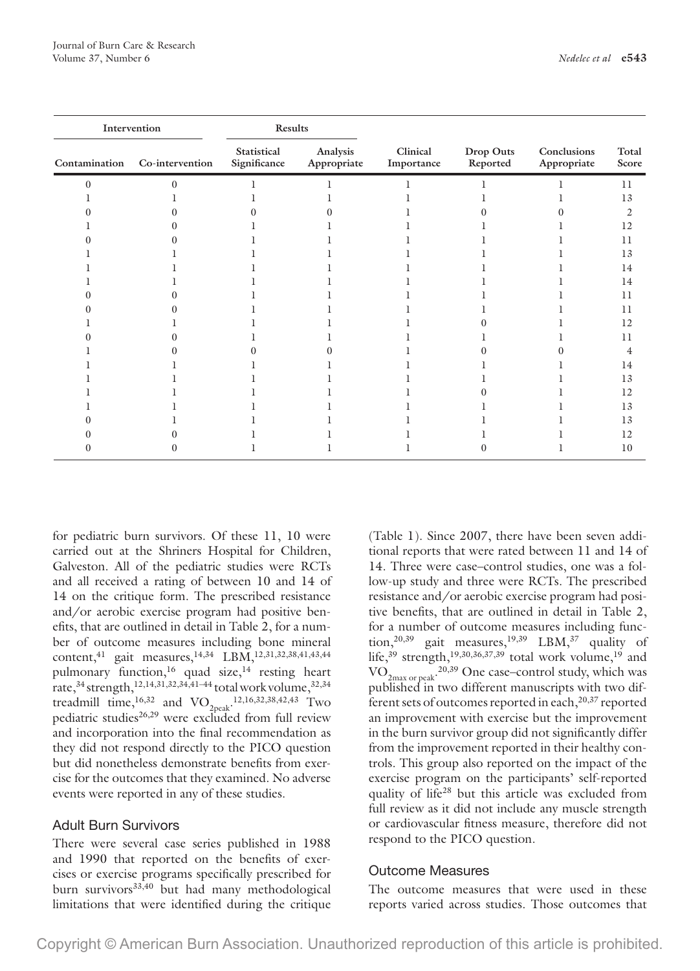|                       |                        |                         | Results                     | Intervention                  |
|-----------------------|------------------------|-------------------------|-----------------------------|-------------------------------|
| Drop Outs<br>Reported | Clinical<br>Importance | Analysis<br>Appropriate | Statistical<br>Significance | Contamination Co-intervention |
|                       |                        |                         |                             |                               |
|                       |                        |                         |                             |                               |
|                       |                        |                         |                             |                               |
|                       |                        |                         |                             |                               |
|                       |                        |                         |                             |                               |
|                       |                        |                         |                             |                               |
|                       |                        |                         |                             |                               |
|                       |                        |                         |                             |                               |
|                       |                        |                         |                             |                               |
|                       |                        |                         |                             |                               |
|                       |                        |                         |                             |                               |
|                       |                        |                         |                             |                               |
|                       |                        |                         |                             |                               |
|                       |                        |                         |                             |                               |
|                       |                        |                         |                             |                               |
|                       |                        |                         |                             |                               |
|                       |                        |                         |                             |                               |
|                       |                        |                         |                             |                               |
|                       |                        |                         |                             |                               |
|                       |                        |                         |                             |                               |
|                       |                        |                         |                             |                               |

for pediatric burn survivors. Of these 11, 10 were carried out at the Shriners Hospital for Children, Galveston. All of the pediatric studies were RCTs and all received a rating of between 10 and 14 of 14 on the critique form. The prescribed resistance and/or aerobic exercise program had positive benefits, that are outlined in detail in Table 2, for a number of outcome measures including bone mineral content,<sup>41</sup> gait measures,<sup>14,34</sup> LBM,<sup>12,31,32,38,41,43,44</sup> pulmonary function,<sup>16</sup> quad size,<sup>14</sup> resting heart rate,<sup>34</sup> strength,<sup>12,14,31,32,34,41-44</sup> total work volume,<sup>32,34</sup> treadmill time, <sup>16,32</sup> and VO<sub>2peak</sub>.<sup>12,16,32,38,42,43</sup> Two pediatric studies26,29 were excluded from full review and incorporation into the final recommendation as they did not respond directly to the PICO question but did nonetheless demonstrate benefits from exercise for the outcomes that they examined. No adverse events were reported in any of these studies.

## Adult Burn Survivors

There were several case series published in 1988 and 1990 that reported on the benefits of exercises or exercise programs specifically prescribed for burn survivors<sup>33,40</sup> but had many methodological limitations that were identified during the critique (Table 1). Since 2007, there have been seven additional reports that were rated between 11 and 14 of 14. Three were case–control studies, one was a follow-up study and three were RCTs. The prescribed resistance and/or aerobic exercise program had positive benefits, that are outlined in detail in Table 2, for a number of outcome measures including function,<sup>20,39</sup> gait measures,<sup>19,39</sup> LBM,<sup>37</sup> quality of life,<sup>39</sup> strength,<sup>19,30,36,37,39</sup> total work volume,<sup>19</sup> and  $\rm VO_{2max\ or\ peak}$ <sup>20,39</sup> One case–control study, which was published in two different manuscripts with two different sets of outcomes reported in each,  $20,37$  reported an improvement with exercise but the improvement in the burn survivor group did not significantly differ from the improvement reported in their healthy controls. This group also reported on the impact of the exercise program on the participants' self-reported quality of life28 but this article was excluded from full review as it did not include any muscle strength or cardiovascular fitness measure, therefore did not respond to the PICO question.

## Outcome Measures

The outcome measures that were used in these reports varied across studies. Those outcomes that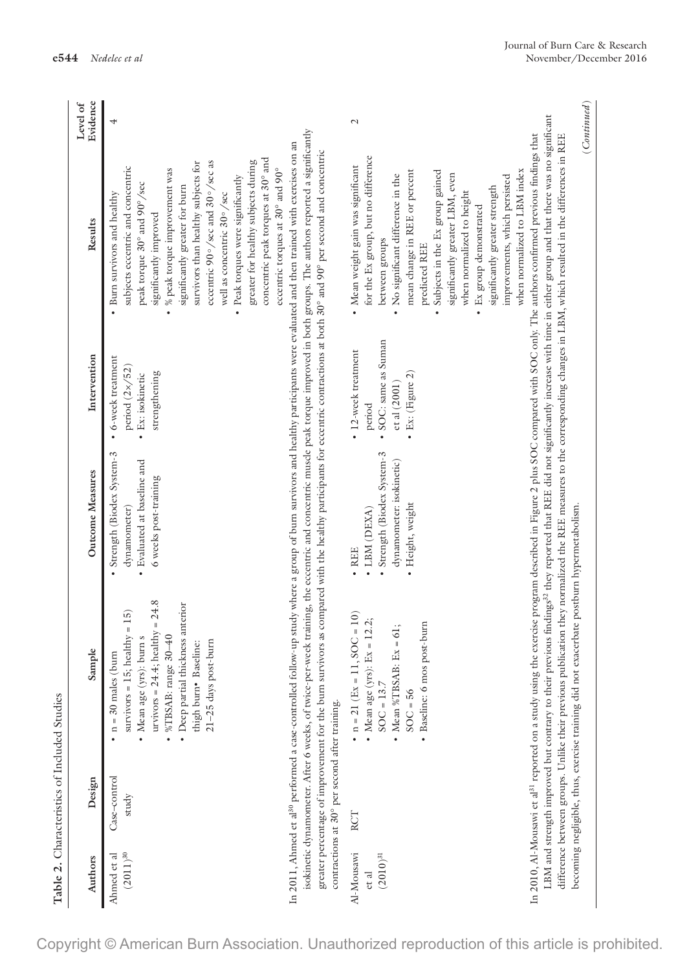|                                      | Table 2. Characteristics of Included Studies   |                                                                                                                                                                                                                                              |                                                                                                                                            |                                                                                              |                                                                                                                                                                                                                                                                                                                                                                                                                                                                                                                                                                                |                      |
|--------------------------------------|------------------------------------------------|----------------------------------------------------------------------------------------------------------------------------------------------------------------------------------------------------------------------------------------------|--------------------------------------------------------------------------------------------------------------------------------------------|----------------------------------------------------------------------------------------------|--------------------------------------------------------------------------------------------------------------------------------------------------------------------------------------------------------------------------------------------------------------------------------------------------------------------------------------------------------------------------------------------------------------------------------------------------------------------------------------------------------------------------------------------------------------------------------|----------------------|
| Authors                              | Design                                         | $\bullet$<br>Sample                                                                                                                                                                                                                          | Outcome Measures                                                                                                                           | Intervention                                                                                 | Results                                                                                                                                                                                                                                                                                                                                                                                                                                                                                                                                                                        | Evidence<br>Level of |
| $(2011)^{30}\,$<br>Ahmed et al       | Case-control<br>study                          | urvivors = $24.4$ ; healthy = $24.8$<br>· Deep partial thickness anterior<br>survivors = $15$ ; healthy = $15$ )<br>%TBSAB: range 30-40<br>• Mean age (yrs): burn s<br>21-25 days post-burn<br>thigh burn• Baseline:<br>$n = 30$ males (burn | Strength (Biodex System-3<br>• Evaluated at baseline and<br>6 weeks post-training<br>dynamometer)                                          | 6-week treatment<br>period $(2 \times 52)$<br>strengthening<br>Ex: isokinetic<br>$\bullet$   | concentric peak torques at 30° and<br>eccentric 90°/sec and 30°/sec as<br>greater for healthy subjects during<br>survivors than healthy subjects for<br>subjects eccentric and concentric<br>$\bullet$ % peak torque improvement was<br>eccentric torques at 30° and 90°<br>Peak torques were significantly<br>peak torque 30° and 90°/sec<br>significantly greater for burn<br>well as concentric 30°/sec<br>• Burn survivors and healthy<br>significantly improved                                                                                                           | 4                    |
|                                      | contractions at 30° per second after training. |                                                                                                                                                                                                                                              |                                                                                                                                            |                                                                                              | isokinetic dynamometer. After 6 weeks, of twice-per-week training, the eccentric and concentric muscle peak torque improved in both groups. The authors reported a significantly<br>In 2011, Ahmed et al <sup>30</sup> performed a case-controlled follow-up study where a group of burn survivors and healthy participants were evaluated and then trained with exercises on an<br>greater percentage of improvement for the burn survivors as compared with the healthy participants for eccentric contractions at both 30° and 90° per second and concentric                |                      |
| Al-Mousawi<br>$(2010)^{31}$<br>et al | RCT                                            | $n = 21$ (Ex = 11, SOC = 10)<br>$= 12.2;$<br>· Baseline: 6 mos post-burn<br>$= 61;$<br>- Mean %TBSAB: $Ex$<br>· Mean age (yrs): Ex<br>$SOC = 13.7$<br>$SOC = 56$                                                                             | Strength (Biodex System-3<br>dynamometer: isokinetic)<br>Height, weight<br>LBM (DEXA)<br><b>REE</b><br>$\bullet$<br>$\bullet$<br>$\bullet$ | SOC: same as Suman<br>• 12-week treatment<br>• Ex: (Figure 2)<br>ct al (2001)<br>period<br>٠ | for the Ex group, but no difference<br>· Mean weight gain was significant<br>when normalized to LBM index<br>mean change in REE or percent<br>• Subjects in the Ex group gained<br>significantly greater LBM, even<br>• No significant difference in the<br>improvements, which persisted<br>significantly greater strength<br>when normalized to height<br>• Ex group demonstrated<br>between groups<br>predicted REE                                                                                                                                                         | $\mathcal{L}$        |
|                                      |                                                | becoming negligible, thus, exercise training did not exacerbate postburn hypermetabolism.                                                                                                                                                    |                                                                                                                                            |                                                                                              | LBM and strength improved but contrary to their previous findings <sup>32</sup> they reported that REE did not significantly increase with time in either group and that there was no significant<br>In 2010, Al-Mousawi et al <sup>31</sup> reported on a study using the exercise program described in Figure 2 plus SOC compared with SOC only. The authors confirmed previous findings that<br>difference between groups. Unlike their previous publication they normalized the REE measures to the corresponding changes in LBM, which resulted in the differences in REE | (Continued)          |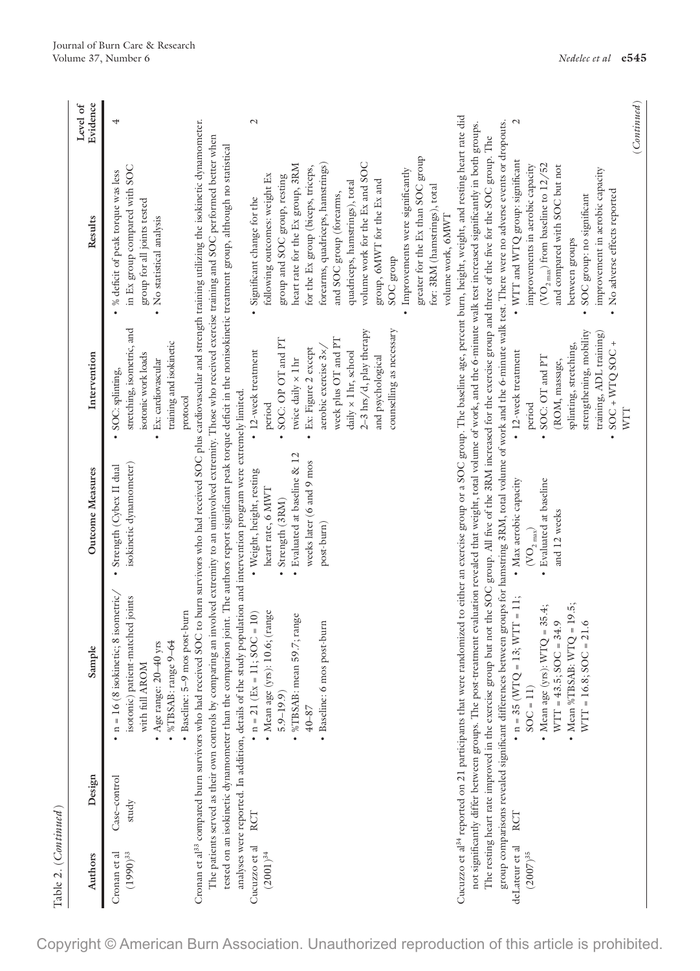| Authors                         | Design                | Sample                                                                                                                                                                                                                                                                                                                                                                                                                                                                                                                                                                                                                                                                                                                                                                                                                                                                                                                                               | Outcome Measures                                                                                     | Intervention                                                                                                                                                                                         | Results                                                                                                                                                                                                                                                                                                                    | Evidence<br>Level of          |
|---------------------------------|-----------------------|------------------------------------------------------------------------------------------------------------------------------------------------------------------------------------------------------------------------------------------------------------------------------------------------------------------------------------------------------------------------------------------------------------------------------------------------------------------------------------------------------------------------------------------------------------------------------------------------------------------------------------------------------------------------------------------------------------------------------------------------------------------------------------------------------------------------------------------------------------------------------------------------------------------------------------------------------|------------------------------------------------------------------------------------------------------|------------------------------------------------------------------------------------------------------------------------------------------------------------------------------------------------------|----------------------------------------------------------------------------------------------------------------------------------------------------------------------------------------------------------------------------------------------------------------------------------------------------------------------------|-------------------------------|
| Cronan et al<br>$(1990)^{33}\,$ | Case–control<br>study | $n = 16$ (8 isokinetic; 8 isometric,<br>isotonic) patient-matched joints<br>· Baseline: 5-9 mos post-burn<br>$\bullet$ %TBSAB: range 9–64<br>• Age range: $20-40$ yrs<br>with full AROM                                                                                                                                                                                                                                                                                                                                                                                                                                                                                                                                                                                                                                                                                                                                                              | isokinetic dynamometer)<br>Strength (Cybex II dual                                                   | stretching, isometric, and<br>training and isokinetic<br>isotonic work loads<br>Ex: cardiovascular<br>SOC: splinting,<br>protocol                                                                    | in Ex group compared with SOC<br>% deficit of peak torque was less<br>group for all joints tested<br>No statistical analysis                                                                                                                                                                                               | 4                             |
|                                 |                       | The patients served as their own controls by comparing an involved extremity to an uninvolved extremity. Those who received exercise training and SOC performed better when<br>tested on an isokinetic dynamometer than the compatison joint. The authors report significant peak torque deficit in the nonisokinetic treatment group, although no statistical<br>Cronan et al <sup>33</sup> compared burn survivors who had received                                                                                                                                                                                                                                                                                                                                                                                                                                                                                                                |                                                                                                      |                                                                                                                                                                                                      | SOC to burn survivors who had received SOC plus cardiovascular and strength training utilizing the isokinetic dynamometer.                                                                                                                                                                                                 |                               |
| Cucuzzo et al<br>$(2001)^{34}$  | RCT                   | analyses were reported. In addition, details of the study population and intervention program were extremely limited.<br>$\bullet$ n = 21 (Ex = 11; SOC = 10)<br>$•$ Mean age (yrs): $10.6$ ; (range<br>• %TBSAB: mean 59.7; range<br>$5.9 - 19.9$<br>$40 - 87$                                                                                                                                                                                                                                                                                                                                                                                                                                                                                                                                                                                                                                                                                      | Evaluated at baseline & 12<br>· Weight, height, resting<br>heart rate, 6 MWT<br>Strength (3RM)       | SOC: OP OT and PT<br>• 12-week treatment<br>twice daily $\times$ 1 hr<br>period                                                                                                                      | heart rate for the Ex group, 3RM<br>following outcomes: weight Ex<br>group and SOC group, resting<br>Significant change for the                                                                                                                                                                                            | $\mathcal{L}$                 |
|                                 |                       | · Baseline: 6 mos post-burn                                                                                                                                                                                                                                                                                                                                                                                                                                                                                                                                                                                                                                                                                                                                                                                                                                                                                                                          | weeks later (6 and 9 mos<br>post-burn)                                                               | counselling as necessary<br>2-3 hrs/d, play therapy<br>week plus OT and PT<br>Ex: Figure 2 except<br>aerobic exercise 3x/<br>daily x 1 hr, school<br>and psychological                               | greater for the Ex than SOC group<br>volume work for the Ex and SOC<br>forearms, quadriceps, hamstrings)<br>for the Ex group (biceps, triceps,<br>Improvements were significantly<br>group, 6MWT for the Ex and<br>quadriceps, hamstrings), total<br>for: 3RM (hamstrings), total<br>and SOC group (forearms,<br>SOC group |                               |
| deLateur et al<br>$(2007)^{35}$ | RCT                   | Cucuzzo et al <sup>34</sup> reported on 21 participants that were randomized to either an exercise group or a SOC group. The baseline age, percent burn, height, weight, and resting heart rate did<br>group comparisons revealed significant differences between groups for hamstring 3RM, total volume of work and the 6-minute walk test. There were no adverse events or dropouts.<br>not significantly differ between groups. The post-treatment evaluation revealed that weight, total volume of work, and the 6-minute walk test increased significantly in both groups.<br>The resting heart rate improved in the exercise group but not the SOC group. All five of the 3RM increased for the exercise group and three of the five tor the SOC group. The<br>• $n = 35$ (WTQ = 13; WTT = 11;<br>• Mean %TBSAB: $W TQ = 19.5$ ;<br>- Mean age (yrs): $W TQ = 35.4$ ;<br>$WTT = 43.5; SOC = 34.9$<br>$WTT = 16.8$ ; $SOC = 21.6$<br>$SOC = 11$ | • Max aerobic capacity<br>· Evaluated at baseline<br>and 12 weeks<br>$(\mathrm{VO}_\mathrm{2\,max})$ | strengthening, mobility<br>training, ADL training)<br>$SOC + WTQ SOC +$<br>splinting, stretching,<br>• 12-week treatment<br>$\bullet$ SOC: OT and PT<br>(ROM, massage,<br>period<br>WIT<br>$\bullet$ | $\bullet$ WTT and WTQ group: significant<br>$(\rm{VO}_{2~\rm{max}})$ from baseline to 12/52<br>improvements in aerobic capacity<br>and compared with SOC but not<br>improvement in aerobic capacity<br>No adverse effects reported<br>SOC group: no significant<br>volume work, 6MWT<br>between groups                     | (Continued)<br>$\overline{c}$ |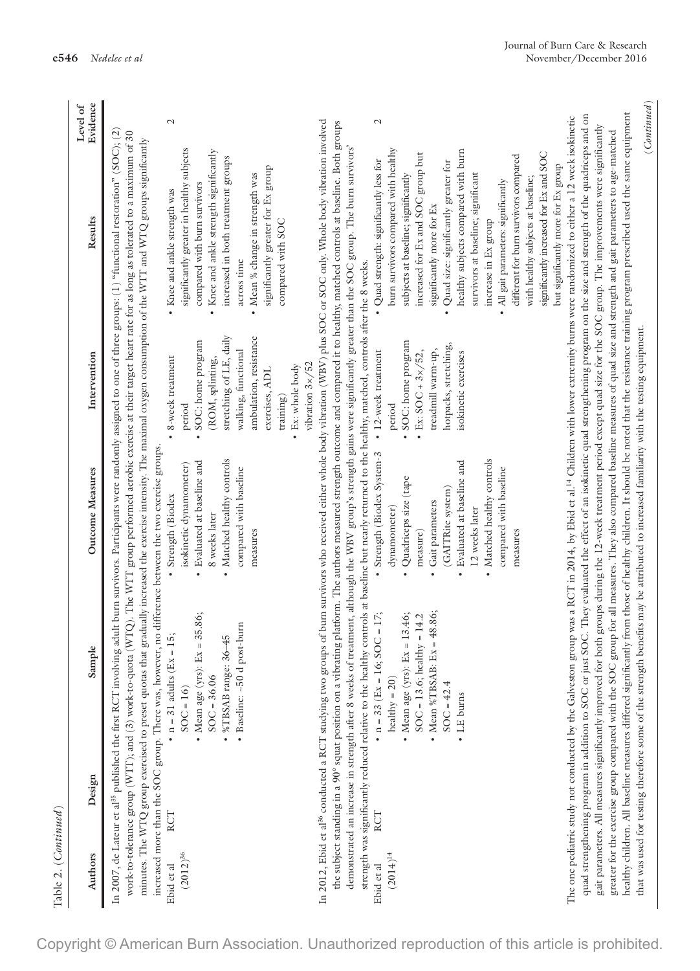| Table 2. ( <i>Continued</i> )                        |                                                                                                                                                          |                                                      |                                                |                                                                                                                                                                                                                                                                                                                                                                                                                                                                                                                                                                |                      |
|------------------------------------------------------|----------------------------------------------------------------------------------------------------------------------------------------------------------|------------------------------------------------------|------------------------------------------------|----------------------------------------------------------------------------------------------------------------------------------------------------------------------------------------------------------------------------------------------------------------------------------------------------------------------------------------------------------------------------------------------------------------------------------------------------------------------------------------------------------------------------------------------------------------|----------------------|
| Design<br>Authors                                    | Sample                                                                                                                                                   | Outcome Measures                                     | Intervention                                   | Results                                                                                                                                                                                                                                                                                                                                                                                                                                                                                                                                                        | Evidence<br>Level of |
|                                                      |                                                                                                                                                          |                                                      |                                                | In 2007, de Lateur et al <sup>55</sup> published the first RCT involving adult burn survivors. Participants were randomly assigned to one of three groups: (1) "functional restoration" (80C); (2)<br>work-to-tolerance group (WTT); and (3) work-to-quota (WTQ). The WTT group performed aerobic exercise at their target heart rate for as long as tolerated to a maximum of 30<br>minutes. The WTQ group exercised to preset quotas that gradually increased the exercise intensity. The maximal oxygen consumption of the WTT and WTQ groups significantly |                      |
| RCT<br>Ebid et al                                    | increased more than the SOC group. There was, however, no difference between the two exercise groups.<br>• $n = 31$ adults (Ex = 15;                     | • Strength (Biodex                                   | 8-week treatment                               | • Knee and ankle strength was                                                                                                                                                                                                                                                                                                                                                                                                                                                                                                                                  | $\mathcal{L}$        |
| $(2012)^{36}$                                        | • Mean age (yrs): $Ex = 35.86$ ;<br>$SOC = 16$                                                                                                           | Evaluated at baseline and<br>isokinetic dynamometer) | SOC: home program<br>period                    | significantly greater in healthy subjects<br>compared with burn survivors                                                                                                                                                                                                                                                                                                                                                                                                                                                                                      |                      |
|                                                      | $36 - 45$<br>%TBSAB range:<br>$SOC = 36.06$                                                                                                              | Matched healthy controls<br>8 weeks later            | (ROM, splinting,                               | Knee and ankle strength significantly                                                                                                                                                                                                                                                                                                                                                                                                                                                                                                                          |                      |
|                                                      | • Baseline: ~50 d post-burn                                                                                                                              | compared with baseline                               | stretching of LE, daily<br>walking, functional | increased in both treatment groups<br>across time                                                                                                                                                                                                                                                                                                                                                                                                                                                                                                              |                      |
|                                                      |                                                                                                                                                          | measures                                             | ambulation, resistance                         | Mean % change in strength was<br>$\bullet$                                                                                                                                                                                                                                                                                                                                                                                                                                                                                                                     |                      |
|                                                      |                                                                                                                                                          |                                                      | exercises, ADL<br>$\text{training}$            | significantly greater for Ex group<br>compared with SOC                                                                                                                                                                                                                                                                                                                                                                                                                                                                                                        |                      |
|                                                      |                                                                                                                                                          |                                                      | • Ex: whole body                               |                                                                                                                                                                                                                                                                                                                                                                                                                                                                                                                                                                |                      |
|                                                      |                                                                                                                                                          |                                                      | vibration 3x/52                                |                                                                                                                                                                                                                                                                                                                                                                                                                                                                                                                                                                |                      |
|                                                      |                                                                                                                                                          |                                                      |                                                | In 2012, Ebid et al <sup>36</sup> conducted a RCT studying two groups of burn survivors who received either whole body vibration (WBV) plus SOC or SOC only. Whole body vibration involved                                                                                                                                                                                                                                                                                                                                                                     |                      |
|                                                      | strength was significantly reduced relative to the healthy controls at baseline but nearly returned to the healthy, matched, controls after the 8 weeks. |                                                      |                                                | the subject standing in a 90° squat position on a vibrating platform. The authors measured strength outcome and compared it to healthy, matched controls at baseline. Both groups<br>demonstrated an increase in strength after 8 weeks of treatment, although the WBV group's strength gains were significantly greater than the SOC group. The burn survivors'                                                                                                                                                                                               |                      |
| RCT<br>Ebid et al                                    | $SOC = 17;$<br>• $n = 33$ (Ex = 16;                                                                                                                      | • Strength (Biodex System-3                          | • 12-week treatment                            | • Quad strength: significantly less for                                                                                                                                                                                                                                                                                                                                                                                                                                                                                                                        | $\mathcal{L}$        |
| $(2014)^{14}\,$                                      | healthy = $20)$                                                                                                                                          | dynamometer)                                         | period                                         | burn survivors compared with healthy                                                                                                                                                                                                                                                                                                                                                                                                                                                                                                                           |                      |
|                                                      | • Mean age (yrs): $Ex = 13.46$ ;                                                                                                                         | Quadriceps size (tape                                | SOC: home program                              | subjects at baseline; significantly                                                                                                                                                                                                                                                                                                                                                                                                                                                                                                                            |                      |
|                                                      | $SOC = 13.6$ ; healthy = 14.2                                                                                                                            | measure)                                             | Ex: $SOC + 3 \times 52$ ,                      | increased for Ex and SOC group but                                                                                                                                                                                                                                                                                                                                                                                                                                                                                                                             |                      |
|                                                      | $Ex = 48.86;$<br>• Mean %TBSAB:                                                                                                                          | Gait parameters                                      | treadmill warm-up,                             | significantly more for Ex                                                                                                                                                                                                                                                                                                                                                                                                                                                                                                                                      |                      |
|                                                      | $SOC = 42.4$                                                                                                                                             | (GAITRite system)                                    | hotpacks, stretching,                          | Quad size: significantly greater for                                                                                                                                                                                                                                                                                                                                                                                                                                                                                                                           |                      |
|                                                      | • LE burns                                                                                                                                               | Evaluated at baseline and                            | isokinetic exercises                           | healthy subjects compared with burn                                                                                                                                                                                                                                                                                                                                                                                                                                                                                                                            |                      |
|                                                      |                                                                                                                                                          | 12 weeks later                                       |                                                | survivors at baseline; significant                                                                                                                                                                                                                                                                                                                                                                                                                                                                                                                             |                      |
|                                                      |                                                                                                                                                          | • Matched healthy controls                           |                                                | increase in Ex group                                                                                                                                                                                                                                                                                                                                                                                                                                                                                                                                           |                      |
|                                                      |                                                                                                                                                          | compared with baseline                               |                                                | All gait parameters: significantly<br>$\bullet$                                                                                                                                                                                                                                                                                                                                                                                                                                                                                                                |                      |
|                                                      |                                                                                                                                                          | measures                                             |                                                | different for burn survivors compared                                                                                                                                                                                                                                                                                                                                                                                                                                                                                                                          |                      |
|                                                      |                                                                                                                                                          |                                                      |                                                | significantly increased for Ex and SOC<br>with healthy subjects at baseline;                                                                                                                                                                                                                                                                                                                                                                                                                                                                                   |                      |
|                                                      |                                                                                                                                                          |                                                      |                                                | but significantly more for Ex group                                                                                                                                                                                                                                                                                                                                                                                                                                                                                                                            |                      |
|                                                      |                                                                                                                                                          |                                                      |                                                | The one pediatric study not conducted by the Galveston group was a RCT in 2014, by Ebid et al. <sup>14</sup> Children with lower extremity burns were randomized to either a 12 week isokinetic                                                                                                                                                                                                                                                                                                                                                                |                      |
|                                                      |                                                                                                                                                          |                                                      |                                                | quad strengthening program in addition to SOC or just SOC. They evaluated the effect of an isokinetic quad strengthening program on the size and strength of the quadriceps and on                                                                                                                                                                                                                                                                                                                                                                             |                      |
| greater for the exercise group compared with the SOC |                                                                                                                                                          |                                                      |                                                | gait parameters. All measures significantly improved for both groups during the 12-week treatment period except quad size for the SOC group. The improvements were significantly<br>group for all measures. They also compared baseline measures of quad size and strength and gait parameters to age-matched                                                                                                                                                                                                                                                  |                      |
|                                                      |                                                                                                                                                          |                                                      |                                                | healthy children. All baseline measures differed significantly from those of healthy children. It should be noted that the resistance training program prescribed used the same equipment                                                                                                                                                                                                                                                                                                                                                                      |                      |
|                                                      | that was used for testing therefore some of the strength benefits may be attributed to increased familiarity with the testing equipment.                 |                                                      |                                                |                                                                                                                                                                                                                                                                                                                                                                                                                                                                                                                                                                | (Continued)          |

Copyright © American Burn Association. Unauthorized reproduction of this article is prohibited.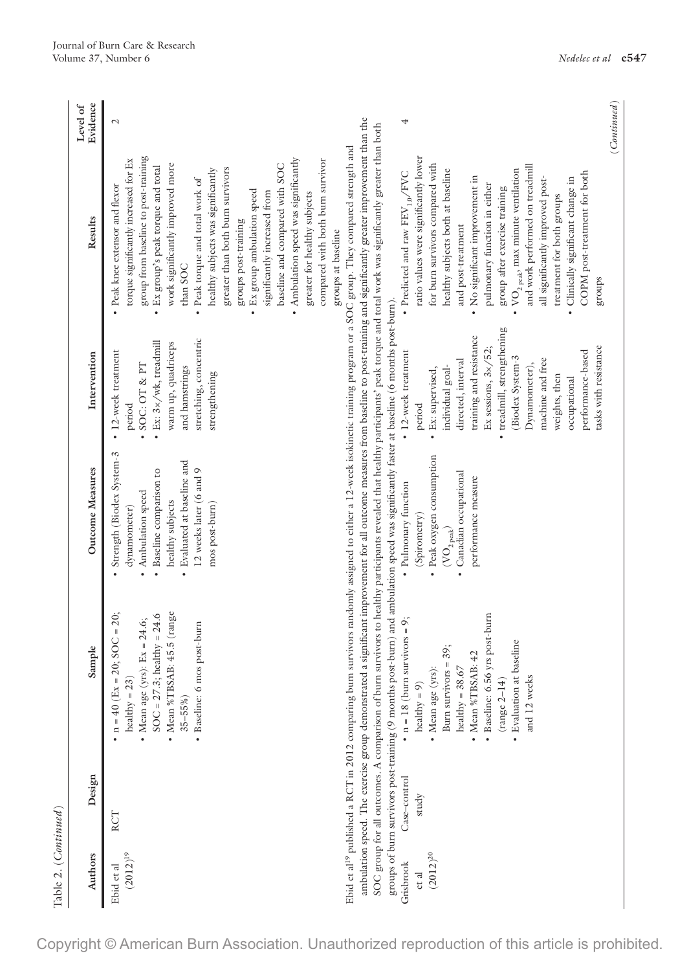|              | Evidence<br>Level of | $\mathcal{L}$                                                                                                                    |
|--------------|----------------------|----------------------------------------------------------------------------------------------------------------------------------|
|              | Results              | torque significantly increased for Ex<br>· Peak knee extensor and flexor                                                         |
|              |                      | group from baseline to post-training                                                                                             |
| Intervention |                      | • 12-week treatment<br>SOC: OT & PT                                                                                              |
|              |                      | $\bullet$ Ex: $3 \times / w$ k, treadmill<br>warm up, quadriceps<br>period                                                       |
|              | Outcome Measures     | Strength (Biodex System-3<br>• Baseline comparison to<br>Ambulation speed<br>dynamometer)                                        |
|              |                      | healthy subjects                                                                                                                 |
|              | Sample               | • Mean %TBSAB: 45.5 (range<br>• $n = 40$ (Ex = 20; SOC = 20;<br>$SOC = 27.3$ ; healthy = 24.6<br>• Mean age (yrs): $Ex = 24.6$ ; |
|              |                      | · Baseline: 6 mos post-burn<br>healthy = $23$ )<br>$35 - 55\%$                                                                   |
|              | Design               | RCT                                                                                                                              |
|              | Authors              | $(2012)^{19}$<br>Ebid et al                                                                                                      |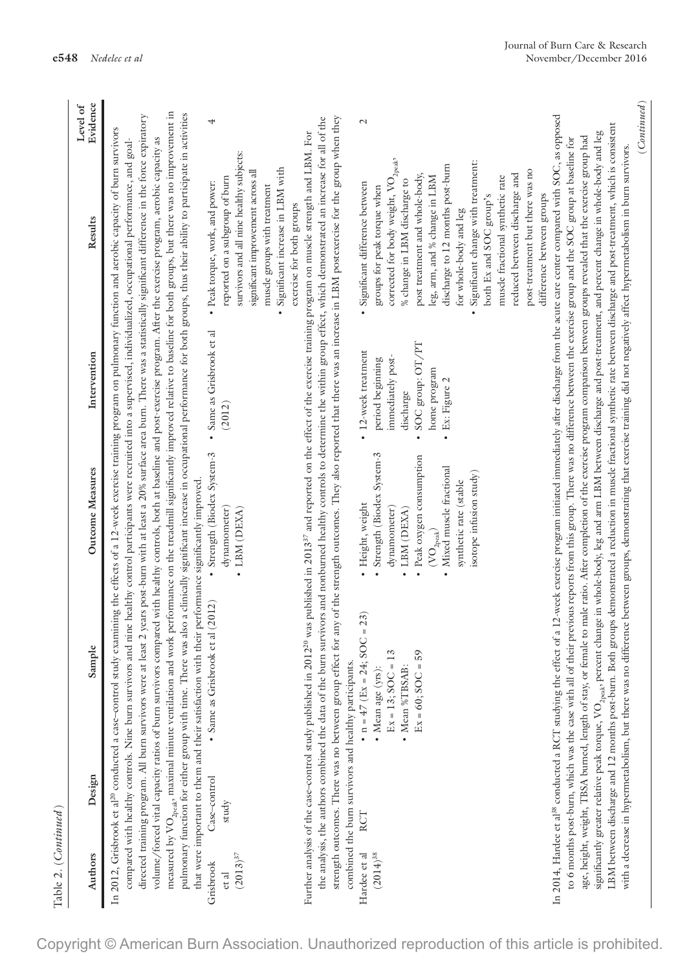| Table 2. (Continued)                                         |                                                                                                                                                                                   |                                                                                                                                                                            |                                                                            |                                                                                                                                                                                                                                                                                                                                                                                                                                                                                                                                                                                                                                                                                                                                                                                                                                                                                                                                                                         |                             |
|--------------------------------------------------------------|-----------------------------------------------------------------------------------------------------------------------------------------------------------------------------------|----------------------------------------------------------------------------------------------------------------------------------------------------------------------------|----------------------------------------------------------------------------|-------------------------------------------------------------------------------------------------------------------------------------------------------------------------------------------------------------------------------------------------------------------------------------------------------------------------------------------------------------------------------------------------------------------------------------------------------------------------------------------------------------------------------------------------------------------------------------------------------------------------------------------------------------------------------------------------------------------------------------------------------------------------------------------------------------------------------------------------------------------------------------------------------------------------------------------------------------------------|-----------------------------|
| Authors                                                      | Sample<br>Design                                                                                                                                                                  | Outcome Measures                                                                                                                                                           | Intervention                                                               | Results                                                                                                                                                                                                                                                                                                                                                                                                                                                                                                                                                                                                                                                                                                                                                                                                                                                                                                                                                                 | <b>Evidence</b><br>Level of |
|                                                              | In 2012, Grisbrook et al <sup>20</sup> conducted a case-control study                                                                                                             |                                                                                                                                                                            |                                                                            | directed training program. All burn survivors were at least 2 years post-burn with at least a 20% surface area burn. There was a statistically significant difference in the force expiratory<br>examining the effects of a 12-week exercise training program on pulmonary function and aerobic capacity of burn survivors<br>volume/forced vital capacity ratios of burn survivors compared with healthy controls, both at baseline and post-exercise program. After the exercise program, aerobic capacity as<br>compared with healthy controls. Nine burn survivors and nine healthy control participants were recruited into a supervised, individualized, occupational performance, and goal-                                                                                                                                                                                                                                                                      |                             |
|                                                              | that were important to them and their satisfaction with their performance significantly improved.<br>measured by $\text{VO}_{2\text{peak}}$ maximal minute ventilation and        |                                                                                                                                                                            |                                                                            | work performance on the treadmill significantly improved relative to baseline for both groups, but there was no improvement in<br>pulmonary function for either group with time. There was also a clinically significant increase in occupational performance for both groups, thus their ability to participate in activities                                                                                                                                                                                                                                                                                                                                                                                                                                                                                                                                                                                                                                          |                             |
| Case-control<br>study<br>$(2013)^{37}$<br>Grisbrook<br>et al | • Same as Grisbrook et al (2012)                                                                                                                                                  | · Strength (Biodex System-3<br>dynamometer)<br>LBM (DEXA)                                                                                                                  | · Same as Grisbrook et al<br>(2012)                                        | survivors and all nine healthy subjects:<br>reported on a subgroup of burn<br>· Peak torque, work, and power:                                                                                                                                                                                                                                                                                                                                                                                                                                                                                                                                                                                                                                                                                                                                                                                                                                                           | 4                           |
|                                                              |                                                                                                                                                                                   |                                                                                                                                                                            |                                                                            | Significant increase in LBM with<br>significant improvement across all<br>muscle groups with treatment<br>exercise for both groups<br>$\bullet$                                                                                                                                                                                                                                                                                                                                                                                                                                                                                                                                                                                                                                                                                                                                                                                                                         |                             |
|                                                              | combined the burn survivors and healthy participants.                                                                                                                             |                                                                                                                                                                            |                                                                            | strength outcomes. There was no between group effect for any of the strength outcomes. They also reported that there was an increase in LBM postexercise for the group when they<br>the analysis, the authors combined the data of the burn survivors and nonburned healthy controls to determine the within group effect, which demonstrated an increase for all of the<br>Further analysis of the case-control study published in 2012 <sup>20</sup> was published in 2013 <sup>37</sup> and reported on the effect of the exercise training program on muscle strength and LBM. For                                                                                                                                                                                                                                                                                                                                                                                  |                             |
| RCT<br>Hardee et al<br>$(2014)^{38}$                         | • $n = 47$ (Ex = 24; SOC = 23)<br>3<br>Ex = 13; SOC =<br>• Mean age (yrs):                                                                                                        | Strength (Biodex System-3<br>· Height, weight<br>dynamometer)                                                                                                              | • 12-week treatment<br>immediately post-<br>period beginning               | corrected for body weight, $\mathrm{VO}_{2\mathrm{peak}},$<br>Significant difference between<br>groups for peak torque when                                                                                                                                                                                                                                                                                                                                                                                                                                                                                                                                                                                                                                                                                                                                                                                                                                             | $\mathcal{L}$               |
|                                                              | $Ex = 60; SOC = 59$<br>• Mean %TBSAB:                                                                                                                                             | · Peak oxygen consumption<br>· Mixed muscle fractional<br>isotope infusion study)<br>synthetic rate (stable<br>LBM (DEXA)<br>$(\mathrm{VO}_{\mathrm{2peak}})$<br>$\bullet$ | SOC group: OT/PT<br>home program<br>Ex: Figure 2<br>discharge<br>$\bullet$ | Significant change with treatment:<br>discharge to 12 months post-burn<br>post treatment and whole-body,<br>leg, arm, and % change in LBM<br>% change in LBM discharge to<br>both Ex and SOC group's<br>for whole-body and leg                                                                                                                                                                                                                                                                                                                                                                                                                                                                                                                                                                                                                                                                                                                                          |                             |
|                                                              |                                                                                                                                                                                   |                                                                                                                                                                            |                                                                            | post-treatment but there was no<br>reduced between discharge and<br>muscle fractional synthetic rate<br>difference between groups                                                                                                                                                                                                                                                                                                                                                                                                                                                                                                                                                                                                                                                                                                                                                                                                                                       |                             |
|                                                              | with a decrease in hypermetabolism, but there was no difference between groups, demonstrating that exercise training did not negatively affect hypermetabolism in burn survivors. |                                                                                                                                                                            |                                                                            | In 2014, Hardee et al <sup>38</sup> conducted a RCT studying the effect of a 12-week exercise program initiated immediately after discharge from the acute care center compared with SOC, as opposed<br>LBM between discharge and 12 months post-burn. Both groups demonstrated a reduction in muscle fractional synthetic rate between discharge and post-treatment, which is consistent<br>significantly greater relative peak torque, VO <sub>2psak</sub> , percent change in whole-body, leg and arm LBM between discharge and post-treatment, and percent change in whole-body and leg<br>age, height, weight, TBSA burned, length of stay, or female to male ratio. After completion of the exercise program comparison between groups revealed that the exercise group had<br>to 6 months post-burn, which was the case with all of their previous reports from this group. There was no difference between the exercise group and the SOC group at baseline for |                             |
|                                                              |                                                                                                                                                                                   |                                                                                                                                                                            |                                                                            |                                                                                                                                                                                                                                                                                                                                                                                                                                                                                                                                                                                                                                                                                                                                                                                                                                                                                                                                                                         | (Continued)                 |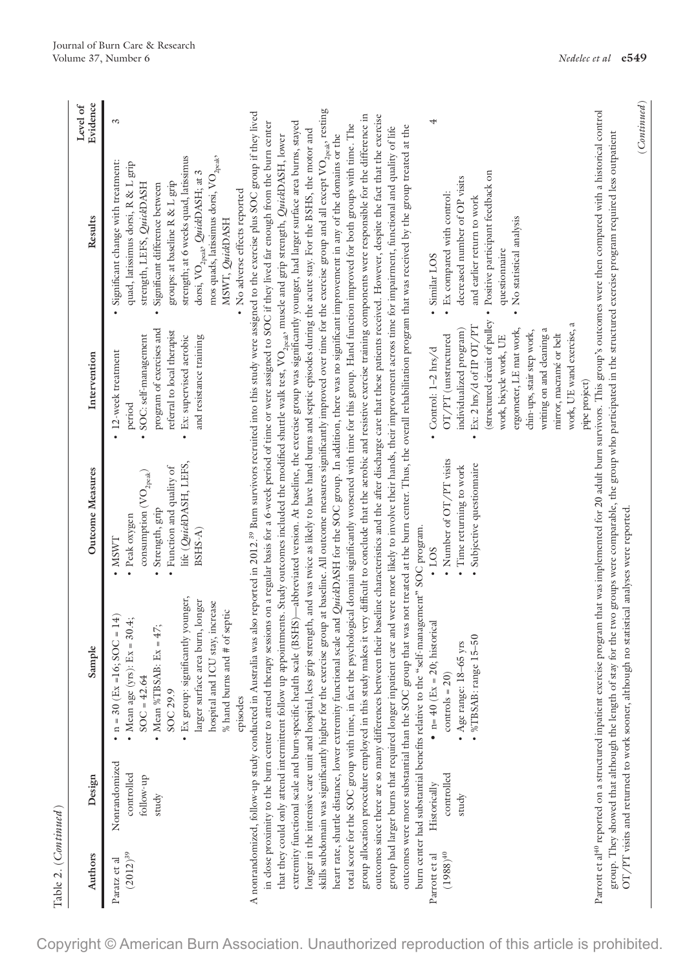| $1$ avic $2.$ (Continue $\mu$ ) |                                                   |                                                                                                                                                                                                                                                                                           |                                                                                                                                                                  |                                                                                                                                                                           |                                                                                                                                                                                                                                                                                                                                                                                                                                                                                                                                                                                           |                      |
|---------------------------------|---------------------------------------------------|-------------------------------------------------------------------------------------------------------------------------------------------------------------------------------------------------------------------------------------------------------------------------------------------|------------------------------------------------------------------------------------------------------------------------------------------------------------------|---------------------------------------------------------------------------------------------------------------------------------------------------------------------------|-------------------------------------------------------------------------------------------------------------------------------------------------------------------------------------------------------------------------------------------------------------------------------------------------------------------------------------------------------------------------------------------------------------------------------------------------------------------------------------------------------------------------------------------------------------------------------------------|----------------------|
| Authors                         | Design                                            | Sample                                                                                                                                                                                                                                                                                    | Outcome Measures                                                                                                                                                 | Intervention                                                                                                                                                              | Results                                                                                                                                                                                                                                                                                                                                                                                                                                                                                                                                                                                   | Evidence<br>Level of |
| $(2012)^{39}$<br>Paratz et al   | Nonrandomized<br>controlled<br>follow-up<br>study | • Ex group: significantly younger,<br>larger surface area burn, longer<br>hospital and ICU stay, increase<br>% hand burns and $#$ of septic<br>$\cdot$ n = 30 (Ex = 16; SOC = 14)<br>• Mean age (yrs): $Ex = 30.4$ ;<br>Mean %TBSAB: $Ex = 47$ ;<br>$SOC = 42.64$<br>SOC 29.9<br>episodes | life (QuickDASH, LEFS,<br>Function and quality of<br>consumption $(\mathrm{VO}_{2\mathrm{peak}})$<br>Strength, grip<br>• Peak oxygen<br>$BSHS-A)$<br><b>NSWT</b> | program of exercises and<br>referral to local therapist<br>· SOC: self-management<br>· Ex: supervised aerobic<br>and resistance training<br>· 12-week treatment<br>period | mos quads, latissimus dorsi, $\rm VO_{2peak}$ ,<br>strength; at 6 weeks quad, latissimus<br>Significant change with treatment:<br>quad, latissimus dorsi, R & L grip<br>dorsi, $\mathrm{VO}_{2\mathrm{peak}}$ , $\mathrm{QuickDASH};$ at 3<br>groups: at baseline R & L grip<br>strength, LEFS, QuickDASH<br>Significant difference between<br>• No adverse effects reported<br>MSWT, QuickDASH                                                                                                                                                                                           | S                    |
|                                 |                                                   |                                                                                                                                                                                                                                                                                           |                                                                                                                                                                  |                                                                                                                                                                           | A nonrandomized, follow-up study conducted in Australia was also reported in 2012. <sup>39</sup> Burn survivors recruited into this study were assigned to the exercise plus SOC group if they lived<br>in close proximity to the burn center to attend therapy sessions on a regular basis for a 6-week period of time or were assigned to SOC if they lived far enough from the burn center<br>that they could only attend intermittent follow up appointments. Study outcomes included the modified shuttle walk test, VO <sub>2pak</sub> , muscle and grip strength, QuickDASH, lower |                      |
|                                 |                                                   |                                                                                                                                                                                                                                                                                           |                                                                                                                                                                  |                                                                                                                                                                           | extremity functional scale and burn-specific health scale (BSHS)—abbreviated version. At baseline, the exercise group was significantly younger, had larger surface area burns, stayed<br>longer in the intensive care unit and hospital, less grip strength, and was twice as likely to have hand burns and septic episodes during the acute stay. For the BSHS, the motor and                                                                                                                                                                                                           |                      |
|                                 |                                                   | heart rate, shuttle distance, lower extremity functional                                                                                                                                                                                                                                  |                                                                                                                                                                  |                                                                                                                                                                           | skills subdomain was significantly higher for the exercise group at baseline. All outcome measures significantly improved over time for the exercise group and all except VO <sub>2peak</sub> , resting<br>total score for the SOC group with time, in fact the psychological domain significantly worsened with time for this group. Hand function improved for both groups with time. The<br>scale and <i>QuickDASH</i> for the SOC group. In addition, there was no significant improvement in any of the domains or the                                                               |                      |
|                                 |                                                   |                                                                                                                                                                                                                                                                                           |                                                                                                                                                                  |                                                                                                                                                                           | group allocation procedure employed in this study makes it very difficult to conclude that the aerobic and resistive exercise training components were responsible for the difference in<br>outcomes since there are so many differences between their baseline characteristics and the after discharge care that these patients received. However, despite the fact that the exercise                                                                                                                                                                                                    |                      |
|                                 |                                                   | burn center had substantial benefits relative to the "self-management" SOC program.                                                                                                                                                                                                       |                                                                                                                                                                  |                                                                                                                                                                           | outcomes were more substantial than the SOC group that was not treated at the burn center. Thus, the overall rehabilitation program that was received by the group treated at the<br>group had larger burns that required longer inpatient care and were more likely to involve their hands, their improvement across time for impairment, functional and quality of life                                                                                                                                                                                                                 |                      |
| $(1988)^{40}$<br>Parrott et al  | controlled<br>Historically                        | historical<br>• $n = 40$ (Ex = 20;<br>$controls = 20)$                                                                                                                                                                                                                                    | Number of OT/PT visits<br>$\cdot$ 1.03                                                                                                                           | OT/PT (unstructured<br>$\cdot$ Control: 1-2 hrs/d                                                                                                                         | · Ex compared with control:<br>· Similar LOS                                                                                                                                                                                                                                                                                                                                                                                                                                                                                                                                              | 4                    |
|                                 | study                                             | $.5 - 50$<br>• Age range: $18-65$ yrs<br>%TBSAB: range                                                                                                                                                                                                                                    | Subjective questionnaire<br>Time returning to work                                                                                                               | $\cdot$ Ex: 2 hrs/d of IP OT/PT<br>individualized program)                                                                                                                | decreased number of OP visits<br>and earlier return to work                                                                                                                                                                                                                                                                                                                                                                                                                                                                                                                               |                      |
|                                 |                                                   |                                                                                                                                                                                                                                                                                           |                                                                                                                                                                  | work, bicycle work, UE                                                                                                                                                    | (structured circuit of pulley · Positive participant feedback on<br>questionnaire                                                                                                                                                                                                                                                                                                                                                                                                                                                                                                         |                      |

ergometer, LE mat work, chin-ups, stair step work, writing on and cleaning a mirror, macramé or belt work, UE wand exercise, a

ergometer, LE mat work,

work, UE wand exercise, a

writing on and cleaning a chin-ups, stair step work,

mirror, macramé or belt

• No statistical analysis

• No statistical analysis

 $\label{eq:continued} (Continued)$ (*Continued*)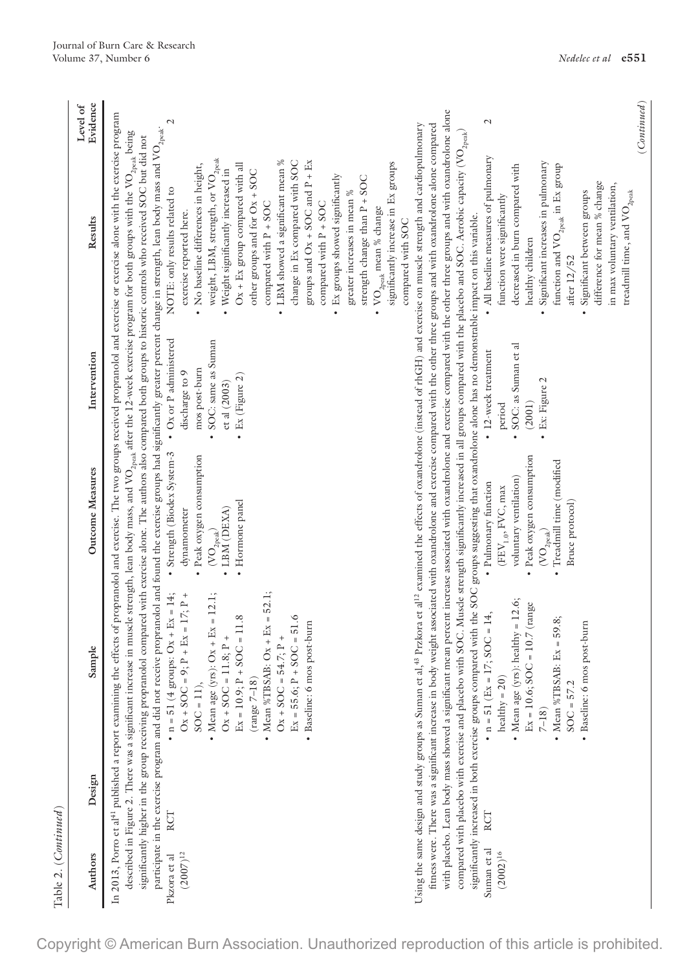| ╮<br>١<br>ć<br>r |  |
|------------------|--|
| ς                |  |

| Evidence<br>Level of |                                                                                                                                                                                                                                                                                                                                                                                                                                                                                                                                                                                                                                                                                                                                                                                                                                                                                                                                                                                                                                                                                                                                                                                  |
|----------------------|----------------------------------------------------------------------------------------------------------------------------------------------------------------------------------------------------------------------------------------------------------------------------------------------------------------------------------------------------------------------------------------------------------------------------------------------------------------------------------------------------------------------------------------------------------------------------------------------------------------------------------------------------------------------------------------------------------------------------------------------------------------------------------------------------------------------------------------------------------------------------------------------------------------------------------------------------------------------------------------------------------------------------------------------------------------------------------------------------------------------------------------------------------------------------------|
| Results              | weight, LBM, strength, or VO <sub>2peak</sub><br>LBM showed a significant mean %<br>change in Ex compared with SOC<br>groups and $Ox + SOC$ and $P + Ex$<br>significantly increase in Ex groups<br>• No baseline differences in height,<br>$Ox + Ex$ group compared with all<br>Weight significantly increased in<br>other groups and for Ox + SOC<br>• Ex groups showed significantly<br>strength change than P + SOC<br>NOTE: only results related to<br>greater increases in mean %<br>compared with P + SOC<br>compared with P + SOC<br>VO <sub>2peak</sub> mean % change<br>exercise reported here.<br>compared with SOC                                                                                                                                                                                                                                                                                                                                                                                                                                                                                                                                                    |
| Intervention         | • SOC: same as Suman<br>mos post-burn<br>discharge to 9<br>• Ex (Figure 2)<br>ctal(2003)                                                                                                                                                                                                                                                                                                                                                                                                                                                                                                                                                                                                                                                                                                                                                                                                                                                                                                                                                                                                                                                                                         |
| Outcome Measures     | • Strength (Biodex System-3 • Ox or P administered<br>· Peak oxygen consumption<br>• Hormone panel<br>· LBM (DEXA)<br>dynamometer<br>$\left(\mathrm{VO}_{\mathrm{2peak}}\right)$                                                                                                                                                                                                                                                                                                                                                                                                                                                                                                                                                                                                                                                                                                                                                                                                                                                                                                                                                                                                 |
| Sample               | In 2013, Porro et al <sup>41</sup> published a report examining the effects of propranolol and exercise. The two groups received propranolol and exercise or exercise alone with the exercise program<br>participate in the exercise program and did not receive propranolol and found the exercise groups had significantly greater percent change in strength, lean body mass and VO $_{\rm 2peak}$<br>described in Figure 2. There was a significant increase in muscle strength, lean body mass, and VO <sub>2peak</sub> after the 12-week exercise program for both groups with the VO <sub>2peak</sub> being<br>significantly higher in the group receiving propranolol compared with exercise alone. The authors also compared both groups to historic controls who received SOC but did not<br>• $n = 51$ (4 groups: Ox + Ex = 14;<br>• Mean %TBSAB: $Ox + Ex = 52.1$ ;<br>• Mean age (yrs): $Ox + Ex = 12.1$ ;<br>$Ex = 17; P +$<br>$Ex = 10.9; P + SOC = 11.8$<br>$Ex = 55.6; P + SOC = 51.6$<br>· Baseline: 6 mos post-burn<br>$Ox + SOC = 11.8; P +$<br>$Ox + SOC = 54.7; P +$<br>$O_X + SOC = 9; P +$<br>$\left(\text{range } 7\text{--}18\right)$<br>$SOC = 11$ ), |
| Design               | RCT                                                                                                                                                                                                                                                                                                                                                                                                                                                                                                                                                                                                                                                                                                                                                                                                                                                                                                                                                                                                                                                                                                                                                                              |
| Authors              | Pkzora et al<br>$(2007)^{12}$                                                                                                                                                                                                                                                                                                                                                                                                                                                                                                                                                                                                                                                                                                                                                                                                                                                                                                                                                                                                                                                                                                                                                    |

with placebo. Lean body mass showed a significant mean percent increase associated with oxandrolone and exercise compared with the other three groups and with oxandrolone alone with placebo. Lean body mass showed a significant mean percent increase associated with oxandrolone and exercise compared with the other three groups and with oxandrolone alone  $\overline{2}$ Using the same design and study groups as Suman et al,<sup>43</sup> Przkora et al<sup>12</sup> examined the effects of oxandrolone (instead of rhGH) and exercise on muscle strength and cardiopulmonary Using the same design and study groups as Suman et al,<sup>48</sup> Przkora et al<sup>12</sup> examined the effects of oxandrolone (instead of rhGH) and exercise on muscle strength and cardiopulmonary fitness were. There was a significant increase in body weight associated with oxandrolone and exercise compared with the other three groups and with oxandrolone alone compared fitness were. There was a significant increase in body weight associated with oxandrolone and exercise compared with the other three groups and with oxandrolone alone compared compared with placebo with exercise and placebo with SOC. Muscle strength significantly increased in all groups compared with the placebo and SOC. Aerobic capacity (VO<sub>2peak</sub>) compared with placebo with exercise and placebo with SOC. Muscle strength significantly increased in all groups compared with the placebo and SOC. Aerobic capacity (VO<sub>200k)</sub> • All baseline measures of pulmonary • All baseline measures of pulmonary Significant increases in pulmonary • Significant increases in pulmonary decreased in burn compared with function and  $\rm{VO}_{2\rm{peak}}$  in Ex group function and  $\rm VO_{2peak}$  in Ex group decreased in burn compared with difference for mean % change difference for mean % change in max voluntary ventilation, in max voluntary ventilation, · Significant between groups • Significant between groups function were significantly function were significantly significantly increased in both exercise groups compared with the SOC groups suggesting that oxandrolone alone has no demonstrable impact on this variable. significantly increased in both exercise groups compared with the SOC groups suggesting that oxandrolone alone has no demonstrable impact on this variable. healthy children healthy children after 12/52 after 12/52 • SOC: as Suman et al • SOC: as Suman et al • 12-week treatment • 12-week treatment Ex: Figure 2 • Ex: Figure 2 (2001) period · Peak oxygen consumption • Peak oxygen consumption • Treadmill time (modified  $({\rm VO}_{\rm peak})$ <br>• Treadmill time (modified voluntary ventilation) voluntary ventilation) - Pulmonary function • Pulmonary function  $(\mathrm{FFV}_{1.0}, \mathrm{FVC}, \max$  $(EEV_{1.0}, FVC, max$ Bruce protocol) Bruce protocol) • Mean age (yrs): healthy =  $12.6$ ; • Mean age (yrs): healthy =  $12.6$ ;  $Ex = 10.6$ ;  $SOC = 10.7$  (range)  $Ex = 10.6$ ;  $SOC = 10.7$  (range RCT •  $n = 51$  (Ex = 17; SOC = 14, •  $n = 51$  (Ex = 17; SOC = 14, • Mean %TBSAB:  $Ex = 59.8$ ; 7–18)<br>• Mean %TBSAB: Ex = 59.8; • Baseline: 6 mos post-burn • Baseline: 6 mos post-burn healthy =  $20)$ healthy =  $20$ )  $SOC = 57.2$ SOC = 57.2 RCT Suman et al Suman et al  $(2002)^{16}$ 

treadmill time, and  $\text{VO}_{\text{2peak}}$ 

treadmill time, and  $\mathrm{VO}_{2\mathrm{peak}}$ 

(*Continued*)

 $(Continued)$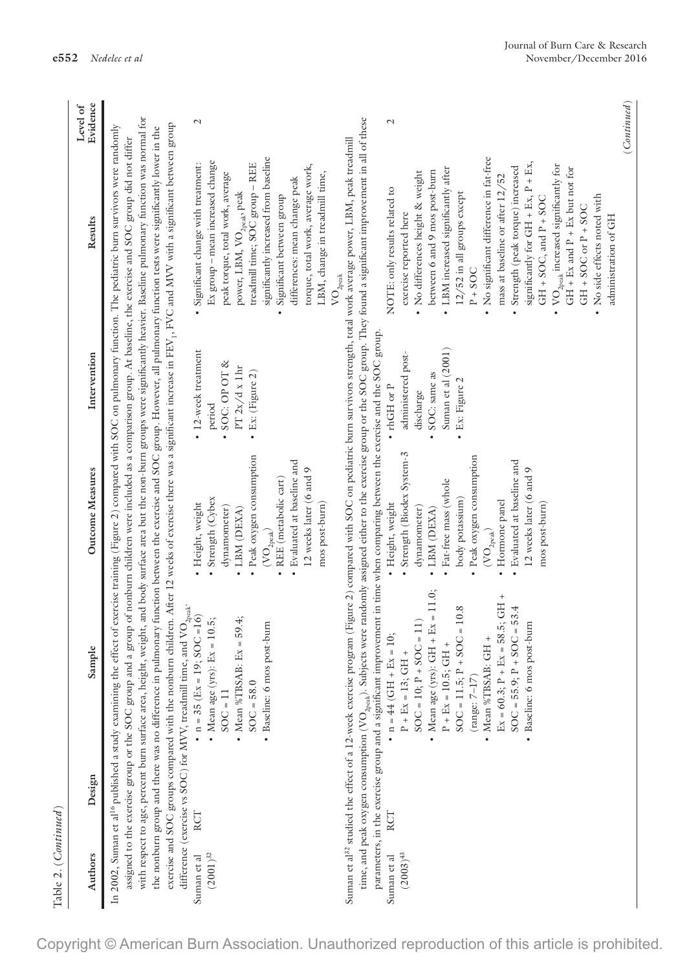| Table 2. (Continued)                  |                                                         |                                                                                                                                |                                     |                               |                                                                                                                                                                                                                                                                                                                                                                                                                                                                                                            |                      |
|---------------------------------------|---------------------------------------------------------|--------------------------------------------------------------------------------------------------------------------------------|-------------------------------------|-------------------------------|------------------------------------------------------------------------------------------------------------------------------------------------------------------------------------------------------------------------------------------------------------------------------------------------------------------------------------------------------------------------------------------------------------------------------------------------------------------------------------------------------------|----------------------|
| Authors                               | Design                                                  | Sample                                                                                                                         | <b>Outcome Measures</b>             | Intervention                  | Results                                                                                                                                                                                                                                                                                                                                                                                                                                                                                                    | Evidence<br>Level of |
|                                       |                                                         |                                                                                                                                |                                     |                               | In 2002, Suman et al <sup>16</sup> published a study examining the effect of exercise training (Figure 2) compared with SOC on pulmonary function. The pediatric burn survivors were randomly<br>assigned to the exercise group or the SOC group and a group of nonburn children were included as a comparison group. At baseline, the exercise and SOC group did not differ                                                                                                                               |                      |
|                                       | with respect to age, percent burn surface area, height, |                                                                                                                                |                                     |                               | weight, and body surface area but the non-burn groups were significantly heavier. Baseline pulmonary function was normal for<br>exercise and SOC groups compared with the nonburn children. After 12 weeks of exercise there was a significant increase in FEY <sub>12</sub> FVC and MVV with a significant between group<br>the nonburn group and there was no difference in pulmonary function between the exercise and SOC group. However, all pulmonary function tests were significantly lower in the |                      |
|                                       | difference (exercise vs SOC) for MVV, treadmill time,   | and $\mathrm{VO}_{2\mathrm{peak}}$ .<br>$SOC = 16$                                                                             |                                     |                               |                                                                                                                                                                                                                                                                                                                                                                                                                                                                                                            |                      |
| RCT<br>$(2001)^{32}\,$<br>Suman et al |                                                         | • Mean age (yrs): $Ex = 10.5$ ;<br>• $n = 35$ (Ex = 19;                                                                        | Strength (Cybex<br>Height, weight   | • 12-week treatment<br>period | Ex group - mean increased change<br>Significant change with treatment:                                                                                                                                                                                                                                                                                                                                                                                                                                     | $\mathcal{L}$        |
|                                       |                                                         | $SOC = 11$                                                                                                                     | dynamometer)                        | SOC: OP OT &                  | peak torque, total work, average                                                                                                                                                                                                                                                                                                                                                                                                                                                                           |                      |
|                                       |                                                         | • Mean %TBSAB: $Ex = 59.4$ ;                                                                                                   | LBM (DEXA)<br>$\bullet$             | PT 2x/d x 1hr                 | power, LBM, VO <sub>2peak</sub> , peak                                                                                                                                                                                                                                                                                                                                                                                                                                                                     |                      |
|                                       |                                                         | $SOC = 58.0$                                                                                                                   | · Peak oxygen consumption           | $\bullet$ Ex: (Figure 2)      | treadmill time; SOC group - REE                                                                                                                                                                                                                                                                                                                                                                                                                                                                            |                      |
|                                       |                                                         | · Baseline: 6 mos post-burn                                                                                                    | $\rm (VO_{2peak})$                  |                               | significantly increased from baseline                                                                                                                                                                                                                                                                                                                                                                                                                                                                      |                      |
|                                       |                                                         |                                                                                                                                | · REE (metabolic cart)              |                               | Significant between group<br>$\bullet$                                                                                                                                                                                                                                                                                                                                                                                                                                                                     |                      |
|                                       |                                                         |                                                                                                                                | Evaluated at baseline and           |                               | differences: mean change peak                                                                                                                                                                                                                                                                                                                                                                                                                                                                              |                      |
|                                       |                                                         |                                                                                                                                | 12 weeks later (6 and 9             |                               | torque, total work, average work,                                                                                                                                                                                                                                                                                                                                                                                                                                                                          |                      |
|                                       |                                                         |                                                                                                                                | mos post-burn)                      |                               | LBM, change in treadmill time,                                                                                                                                                                                                                                                                                                                                                                                                                                                                             |                      |
|                                       |                                                         |                                                                                                                                |                                     |                               | $\text{VO}_\text{2peak}$                                                                                                                                                                                                                                                                                                                                                                                                                                                                                   |                      |
|                                       |                                                         |                                                                                                                                |                                     |                               | time, and peak oxygen consumption (VO <sub>2pcak</sub> ). Subjects were randomly assigned either to the exercise group or the SOC group. They found a significant improvement in all of these<br>Suman et al <sup>32</sup> studied the effect of a 12-week exercise program (Figure 2) compared with SOC on pediatric burn survivors strength, total work average power, LBM, peak treadmill                                                                                                               |                      |
|                                       |                                                         | parameters, in the exercise group and a significant improvement in time when comparing between the exercise and the SOC group. |                                     |                               |                                                                                                                                                                                                                                                                                                                                                                                                                                                                                                            |                      |
| RCT<br>Suman et al                    |                                                         | • $n = 44$ (GH + Ex = 10;                                                                                                      | · Height, weight                    | $\bullet$ rhGH or $P$         | NOTE: only results related to                                                                                                                                                                                                                                                                                                                                                                                                                                                                              | $\mathcal{L}$        |
| $(2003)^{43}$                         |                                                         | $P + Ex = 13; GHz +$                                                                                                           | · Strength (Biodex System-3         | administered post-            | exercise reported here                                                                                                                                                                                                                                                                                                                                                                                                                                                                                     |                      |
|                                       |                                                         | $SOC = 10; P + SOC = 11)$                                                                                                      | dynamometer)                        | discharge                     | No differences height & weight                                                                                                                                                                                                                                                                                                                                                                                                                                                                             |                      |
|                                       |                                                         | • Mean age (yrs): GH + $Ex = 11.0$ ;                                                                                           | · LBM (DEXA)                        | SOC: same as                  | between 6 and 9 mos post-burn                                                                                                                                                                                                                                                                                                                                                                                                                                                                              |                      |
|                                       |                                                         | $P + Ex = 10.5$ ; GH +                                                                                                         | · Fat-free mass (whole              | Suman et al (2001)            | • LBM increased significantly after                                                                                                                                                                                                                                                                                                                                                                                                                                                                        |                      |
|                                       |                                                         | $SOC = 11.5; P + SOC = 10.8$                                                                                                   | body potassium)                     | Ex: Figure 2<br>$\bullet$     | $12/52$ in all groups except                                                                                                                                                                                                                                                                                                                                                                                                                                                                               |                      |
|                                       |                                                         | $(\mbox{range: } 7\mbox{--}17)$                                                                                                | Peak oxygen consumption             |                               | $P + SOC$                                                                                                                                                                                                                                                                                                                                                                                                                                                                                                  |                      |
|                                       |                                                         | - Mean %TBSAB: GH $\pm$                                                                                                        | $\left({\rm VO}_{\rm 2peak}\right)$ |                               | · No significant difference in fat-free                                                                                                                                                                                                                                                                                                                                                                                                                                                                    |                      |
|                                       |                                                         | $Ex = 60.3; P + Ex = 58.5; GH +$                                                                                               | Hormone panel<br>$\bullet$          |                               | mass at baseline or after 12/52                                                                                                                                                                                                                                                                                                                                                                                                                                                                            |                      |
|                                       |                                                         | $SOC = 55.9$ ; $P + SOC = 53.4$                                                                                                | • Evaluated at baseline and         |                               | Strength (peak torque) increased                                                                                                                                                                                                                                                                                                                                                                                                                                                                           |                      |
|                                       |                                                         | Baseline: 6 mos post-burn                                                                                                      | 12 weeks later (6 and 9             |                               | significantly for GH + Ex, $P$ + Ex,                                                                                                                                                                                                                                                                                                                                                                                                                                                                       |                      |
|                                       |                                                         |                                                                                                                                | mos post-burn)                      |                               | $GH + SOC$ , and $P + SOC$                                                                                                                                                                                                                                                                                                                                                                                                                                                                                 |                      |
|                                       |                                                         |                                                                                                                                |                                     |                               | $\bullet$ VO <sub>2peak</sub> increased significantly for<br>$GH + Ex$ and $P + Ex$ but not for                                                                                                                                                                                                                                                                                                                                                                                                            |                      |
|                                       |                                                         |                                                                                                                                |                                     |                               | $GH + SOC or P + SOC$                                                                                                                                                                                                                                                                                                                                                                                                                                                                                      |                      |
|                                       |                                                         |                                                                                                                                |                                     |                               | No side effects noted with<br>$\bullet$                                                                                                                                                                                                                                                                                                                                                                                                                                                                    |                      |
|                                       |                                                         |                                                                                                                                |                                     |                               | administration of GH                                                                                                                                                                                                                                                                                                                                                                                                                                                                                       |                      |
|                                       |                                                         |                                                                                                                                |                                     |                               |                                                                                                                                                                                                                                                                                                                                                                                                                                                                                                            | (Continued)          |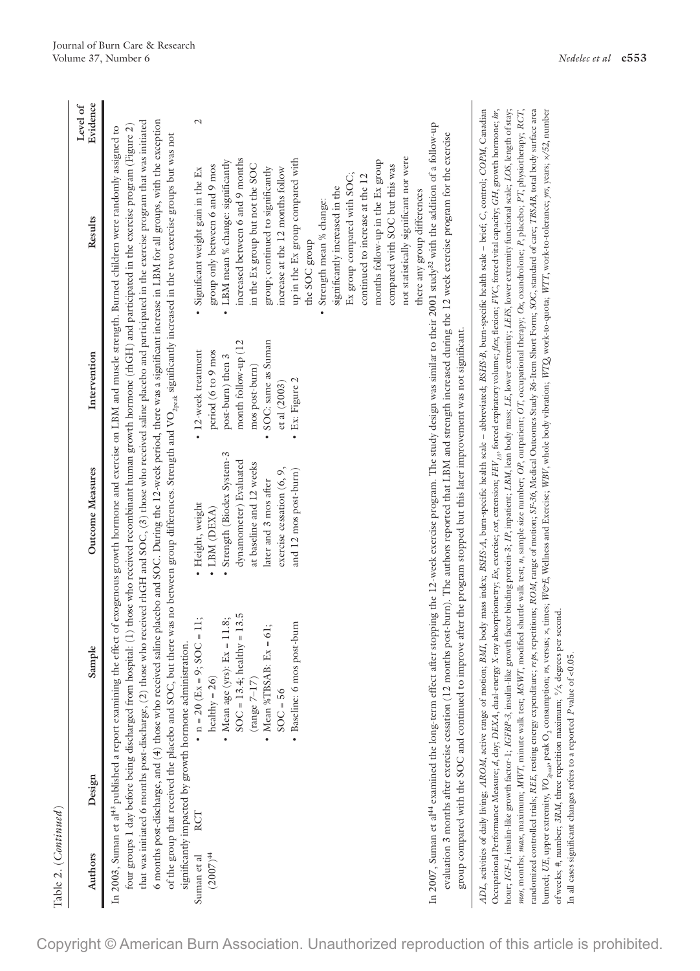| Table 2. ( <i>Continued</i> )<br>Authors | Design                                                                                                                                                | Sample                                      | <b>Outcome Measures</b>                                                                                                        | Intervention        | Results                                                                                                                                                                                                                                                                                                                                                                                                                                                                                                                                                                                                                                                                         | Evidence<br>Level of |
|------------------------------------------|-------------------------------------------------------------------------------------------------------------------------------------------------------|---------------------------------------------|--------------------------------------------------------------------------------------------------------------------------------|---------------------|---------------------------------------------------------------------------------------------------------------------------------------------------------------------------------------------------------------------------------------------------------------------------------------------------------------------------------------------------------------------------------------------------------------------------------------------------------------------------------------------------------------------------------------------------------------------------------------------------------------------------------------------------------------------------------|----------------------|
|                                          |                                                                                                                                                       |                                             |                                                                                                                                |                     |                                                                                                                                                                                                                                                                                                                                                                                                                                                                                                                                                                                                                                                                                 |                      |
|                                          |                                                                                                                                                       |                                             |                                                                                                                                |                     | In 2003, Suman et al <sup>43</sup> published a report examining the effect of exogenous growth hormone and exercise on LBM and muscle strength. Burned children were randomly assigned to                                                                                                                                                                                                                                                                                                                                                                                                                                                                                       |                      |
|                                          |                                                                                                                                                       |                                             |                                                                                                                                |                     | four groups 1 day before being discharged from hospital: (1) those who received recombinant human growth hormone (rhGH) and participated in the exercise program (Figure 2)                                                                                                                                                                                                                                                                                                                                                                                                                                                                                                     |                      |
|                                          | 6 months post-discharge, and (4) those who received                                                                                                   |                                             |                                                                                                                                |                     | saline placebo and SOC. During the 12-week period, there was a significant increase in LBM for all groups, with the exception<br>that was initiated 6 months post-discharge, (2) those who received rhGH and SOC, (3) those who received saline placebo and participated in the exercise program that was initiated                                                                                                                                                                                                                                                                                                                                                             |                      |
|                                          |                                                                                                                                                       |                                             |                                                                                                                                |                     | of the group that received the placebo and SOC, but there was no between group differences. Strength and VO <sub>2peak</sub> significantly increased in the two exercise groups but was not                                                                                                                                                                                                                                                                                                                                                                                                                                                                                     |                      |
|                                          | significantly impacted by growth hormone administration.                                                                                              |                                             |                                                                                                                                |                     |                                                                                                                                                                                                                                                                                                                                                                                                                                                                                                                                                                                                                                                                                 |                      |
| Suman et al                              | RCT                                                                                                                                                   | • $n = 20$ (Ex = 9; SOC = 11;               | Height, weight                                                                                                                 | • 12-week treatment | Significant weight gain in the Ex                                                                                                                                                                                                                                                                                                                                                                                                                                                                                                                                                                                                                                               | $\mathcal{L}$        |
| $(2007)^{44}$                            |                                                                                                                                                       | healthy = $26$ )                            | · LBM (DEXA)                                                                                                                   | period (6 to 9 mos  | group only between 6 and 9 mos                                                                                                                                                                                                                                                                                                                                                                                                                                                                                                                                                                                                                                                  |                      |
|                                          |                                                                                                                                                       | - Mean age (yrs): Ex = 11.8;                | Strength (Biodex System-3                                                                                                      | post-burn) then 3   | LBM mean % change: significantly<br>$\ddot{\phantom{0}}$                                                                                                                                                                                                                                                                                                                                                                                                                                                                                                                                                                                                                        |                      |
|                                          |                                                                                                                                                       | $SOC = 13.4$ ; healthy = 13.5               | dynamometer) Evaluated                                                                                                         | month follow-up (12 | increased between 6 and 9 months                                                                                                                                                                                                                                                                                                                                                                                                                                                                                                                                                                                                                                                |                      |
|                                          |                                                                                                                                                       | $\left(\mathrm{range}\,7\text{--}17\right)$ | at baseline and 12 weeks                                                                                                       | mos post-burn)      | in the Ex group but not the SOC                                                                                                                                                                                                                                                                                                                                                                                                                                                                                                                                                                                                                                                 |                      |
|                                          |                                                                                                                                                       | $Ex = 61;$<br>• Mean %TBSAB:                | later and 3 mos after                                                                                                          | SOC: same as Suman  | group; continued to significantly                                                                                                                                                                                                                                                                                                                                                                                                                                                                                                                                                                                                                                               |                      |
|                                          |                                                                                                                                                       | $30C = 56$                                  | exercise cessation (6, 9,                                                                                                      | et al (2003)        | increase at the 12 months follow                                                                                                                                                                                                                                                                                                                                                                                                                                                                                                                                                                                                                                                |                      |
|                                          |                                                                                                                                                       | · Baseline: 6 mos post-burn                 | and 12 mos post-burn)                                                                                                          | · Ex: Figure 2      | up in the Ex group compared with                                                                                                                                                                                                                                                                                                                                                                                                                                                                                                                                                                                                                                                |                      |
|                                          |                                                                                                                                                       |                                             |                                                                                                                                |                     | the SOC group                                                                                                                                                                                                                                                                                                                                                                                                                                                                                                                                                                                                                                                                   |                      |
|                                          |                                                                                                                                                       |                                             |                                                                                                                                |                     | · Strength mean % change:                                                                                                                                                                                                                                                                                                                                                                                                                                                                                                                                                                                                                                                       |                      |
|                                          |                                                                                                                                                       |                                             |                                                                                                                                |                     | significantly increased in the                                                                                                                                                                                                                                                                                                                                                                                                                                                                                                                                                                                                                                                  |                      |
|                                          |                                                                                                                                                       |                                             |                                                                                                                                |                     | Ex group compared with SOC;                                                                                                                                                                                                                                                                                                                                                                                                                                                                                                                                                                                                                                                     |                      |
|                                          |                                                                                                                                                       |                                             |                                                                                                                                |                     | continued to increase at the 12                                                                                                                                                                                                                                                                                                                                                                                                                                                                                                                                                                                                                                                 |                      |
|                                          |                                                                                                                                                       |                                             |                                                                                                                                |                     | months follow-up in the Ex group                                                                                                                                                                                                                                                                                                                                                                                                                                                                                                                                                                                                                                                |                      |
|                                          |                                                                                                                                                       |                                             |                                                                                                                                |                     | compared with SOC but this was                                                                                                                                                                                                                                                                                                                                                                                                                                                                                                                                                                                                                                                  |                      |
|                                          |                                                                                                                                                       |                                             |                                                                                                                                |                     | not statistically significant nor were                                                                                                                                                                                                                                                                                                                                                                                                                                                                                                                                                                                                                                          |                      |
|                                          |                                                                                                                                                       |                                             |                                                                                                                                |                     | there any group differences                                                                                                                                                                                                                                                                                                                                                                                                                                                                                                                                                                                                                                                     |                      |
|                                          |                                                                                                                                                       |                                             |                                                                                                                                |                     | In 2007, Suman et al <sup>44</sup> examined the long-term effect after stopping the 12-week exercise program. The study design was similar to their 2001 study <sup>32</sup> with the addition of a follow-up                                                                                                                                                                                                                                                                                                                                                                                                                                                                   |                      |
|                                          |                                                                                                                                                       |                                             |                                                                                                                                |                     | evaluation 3 months after exercise cessation (12 months post-burn). The authors reported that LBM and strength increased during the 12 week exercise program for the exercise                                                                                                                                                                                                                                                                                                                                                                                                                                                                                                   |                      |
|                                          |                                                                                                                                                       |                                             | group compared with the SOC and continued to improve after the program stopped but this later improvement was not significant. |                     |                                                                                                                                                                                                                                                                                                                                                                                                                                                                                                                                                                                                                                                                                 |                      |
|                                          |                                                                                                                                                       |                                             |                                                                                                                                |                     | Occupational Performance Measure; $d$ , day; DEXA, dual-energy X-ray absorptiometry; Ex, exercise; ext, extension; FEV <sub>10</sub> , forced expiratory volume; flex, flexion; FVC, forced viral capacity; GH, growth hormone; br,<br>hour; IGF-1, insulin-like growth factor-1; IGFBP-3, insulin-like growth factor binding protein-3; IP, inpatient; LBM, lean body mass; LE, lower extremity; LEFS, lower extremity functional scale; LOS, length of stay;<br>ADL, activities of daily living; AROM, active range of motion; BMI, body mass index; BSH3-A, burn-specific health scale - abbreviated; BSH3-B, burn-specific health scale - brief; C, control; COPM, Canadian |                      |
|                                          |                                                                                                                                                       |                                             |                                                                                                                                |                     | mos, months; max; maximum; MWT, minute walk test; MSWT, modified shuttle walk test; n, sample size number; OP, outpatient; OT, occupational therapy; Ox, oxandrolone; P, placebo; PT, physiotherapy; RCT,                                                                                                                                                                                                                                                                                                                                                                                                                                                                       |                      |
|                                          |                                                                                                                                                       |                                             |                                                                                                                                |                     | randomized controlled trials; REE, resting energy expenditure; repetitions; ROM, range of motion; SF-36, Medical Outcomes Study 36-Item Short Form; SOC, standard of care; TBSAB, total body surface area                                                                                                                                                                                                                                                                                                                                                                                                                                                                       |                      |
|                                          |                                                                                                                                                       |                                             |                                                                                                                                |                     | burned; UE, upper extremity, $VC_{20\mu ab}$ peak O <sub>2</sub> consumption; pr, versus, x, times; We'E, Welhess and Exercise; WBV, whole body vibration; WTQ work-to-quota; WTT, work-to-tolerance; pyr, years; $\approx$ /52, number                                                                                                                                                                                                                                                                                                                                                                                                                                         |                      |
|                                          | of weeks; #, number; 3RM, three repetition maximum; %, degrees per second.<br>In all cases significant changes refers to a reported P value of <0.05. |                                             |                                                                                                                                |                     |                                                                                                                                                                                                                                                                                                                                                                                                                                                                                                                                                                                                                                                                                 |                      |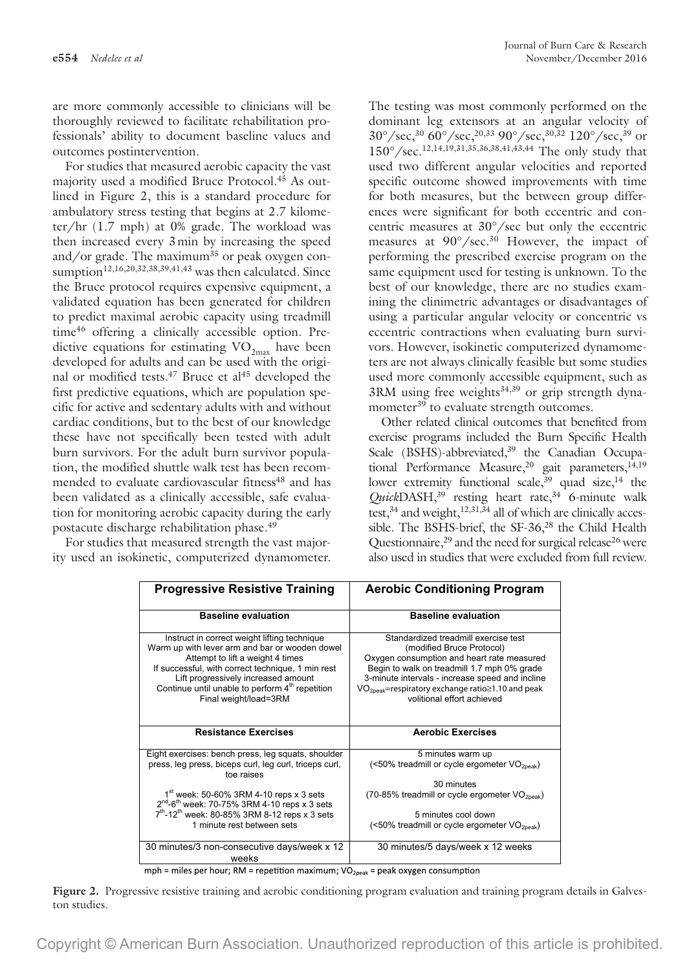are more commonly accessible to clinicians will be thoroughly reviewed to facilitate rehabilitation professionals' ability to document baseline values and outcomes postintervention.

For studies that measured aerobic capacity the vast majority used a modified Bruce Protocol.<sup>45</sup> As outlined in Figure 2, this is a standard procedure for ambulatory stress testing that begins at 2.7 kilometer/hr (1.7 mph) at 0% grade. The workload was then increased every 3min by increasing the speed and/or grade. The maximum<sup>35</sup> or peak oxygen consumption<sup>12,16,20,32,38,39,41,43</sup> was then calculated. Since the Bruce protocol requires expensive equipment, a validated equation has been generated for children to predict maximal aerobic capacity using treadmill time46 offering a clinically accessible option. Predictive equations for estimating  $\rm VO_{2max}$  have been developed for adults and can be used with the original or modified tests.<sup>47</sup> Bruce et al<sup>45</sup> developed the first predictive equations, which are population specific for active and sedentary adults with and without cardiac conditions, but to the best of our knowledge these have not specifically been tested with adult burn survivors. For the adult burn survivor population, the modified shuttle walk test has been recommended to evaluate cardiovascular fitness<sup>48</sup> and has been validated as a clinically accessible, safe evaluation for monitoring aerobic capacity during the early postacute discharge rehabilitation phase.49

For studies that measured strength the vast majority used an isokinetic, computerized dynamometer. The testing was most commonly performed on the dominant leg extensors at an angular velocity of  $30^{\circ}/sec^{30}$  60°/sec,<sup>20,33</sup> 90°/sec,<sup>30,32</sup> 120°/sec,<sup>39</sup> or 150°/sec.12,14,19,31,35,36,38,41,43,44 The only study that used two different angular velocities and reported specific outcome showed improvements with time for both measures, but the between group differences were significant for both eccentric and concentric measures at 30°/sec but only the eccentric measures at  $90^{\circ}/sec.^{30}$  However, the impact of performing the prescribed exercise program on the same equipment used for testing is unknown. To the best of our knowledge, there are no studies examining the clinimetric advantages or disadvantages of using a particular angular velocity or concentric vs eccentric contractions when evaluating burn survivors. However, isokinetic computerized dynamometers are not always clinically feasible but some studies used more commonly accessible equipment, such as  $3RM$  using free weights<sup>34,39</sup> or grip strength dynamometer<sup>39</sup> to evaluate strength outcomes.

Other related clinical outcomes that benefited from exercise programs included the Burn Specific Health Scale (BSHS)-abbreviated,<sup>39</sup> the Canadian Occupational Performance Measure,<sup>20</sup> gait parameters,<sup>14,19</sup> lower extremity functional scale,  $39$  quad size, <sup>14</sup> the *Quick*DASH,39 resting heart rate,34 6-minute walk test,  $34$  and weight,  $12,31,34$  all of which are clinically accessible. The BSHS-brief, the SF-36,<sup>28</sup> the Child Health Questionnaire, $2<sup>9</sup>$  and the need for surgical release $2<sup>6</sup>$  were also used in studies that were excluded from full review.

| <b>Progressive Resistive Training</b>                                                                                                                                                                                                                                                                                  | <b>Aerobic Conditioning Program</b>                                                                                                                                                                                                                                                                              |
|------------------------------------------------------------------------------------------------------------------------------------------------------------------------------------------------------------------------------------------------------------------------------------------------------------------------|------------------------------------------------------------------------------------------------------------------------------------------------------------------------------------------------------------------------------------------------------------------------------------------------------------------|
|                                                                                                                                                                                                                                                                                                                        |                                                                                                                                                                                                                                                                                                                  |
| <b>Baseline evaluation</b>                                                                                                                                                                                                                                                                                             | <b>Baseline evaluation</b>                                                                                                                                                                                                                                                                                       |
| Instruct in correct weight lifting technique<br>Warm up with lever arm and bar or wooden dowel<br>Attempt to lift a weight 4 times<br>If successful, with correct technique, 1 min rest<br>Lift progressively increased amount<br>Continue until unable to perform 4 <sup>th</sup> repetition<br>Final weight/load=3RM | Standardized treadmill exercise test<br>(modified Bruce Protocol)<br>Oxygen consumption and heart rate measured<br>Begin to walk on treadmill 1.7 mph 0% grade<br>3-minute intervals - increase speed and incline<br>VO <sub>2peak</sub> =respiratory exchange ratio≥1.10 and peak<br>volitional effort achieved |
| <b>Resistance Exercises</b>                                                                                                                                                                                                                                                                                            | <b>Aerobic Exercises</b>                                                                                                                                                                                                                                                                                         |
| Eight exercises: bench press, leg squats, shoulder<br>press, leg press, biceps curl, leg curl, triceps curl,<br>toe raises                                                                                                                                                                                             | 5 minutes warm up<br>$(<50\%$ treadmill or cycle ergometer $VO2peak$ )                                                                                                                                                                                                                                           |
|                                                                                                                                                                                                                                                                                                                        | 30 minutes                                                                                                                                                                                                                                                                                                       |
| $1st$ week: 50-60% 3RM 4-10 reps x 3 sets<br>$2^{nd}$ -6 <sup>th</sup> week: 70-75% 3RM 4-10 reps x 3 sets                                                                                                                                                                                                             | (70-85% treadmill or cycle ergometer VO <sub>2peak</sub> )                                                                                                                                                                                                                                                       |
| $7^{th}$ -12 <sup>th</sup> week: 80-85% 3RM 8-12 reps x 3 sets                                                                                                                                                                                                                                                         | 5 minutes cool down                                                                                                                                                                                                                                                                                              |
| 1 minute rest between sets                                                                                                                                                                                                                                                                                             | (<50% treadmill or cycle ergometer $VO2peak$ )                                                                                                                                                                                                                                                                   |
| 30 minutes/3 non-consecutive days/week x 12<br>weeks                                                                                                                                                                                                                                                                   | 30 minutes/5 days/week x 12 weeks                                                                                                                                                                                                                                                                                |

mph = miles per hour; RM = repetition maximum;  $VO<sub>2peak</sub>$  = peak oxygen consumption

**Figure 2.** Progressive resistive training and aerobic conditioning program evaluation and training program details in Galveston studies.

Copyright © American Burn Association. Unauthorized reproduction of this article is prohibited.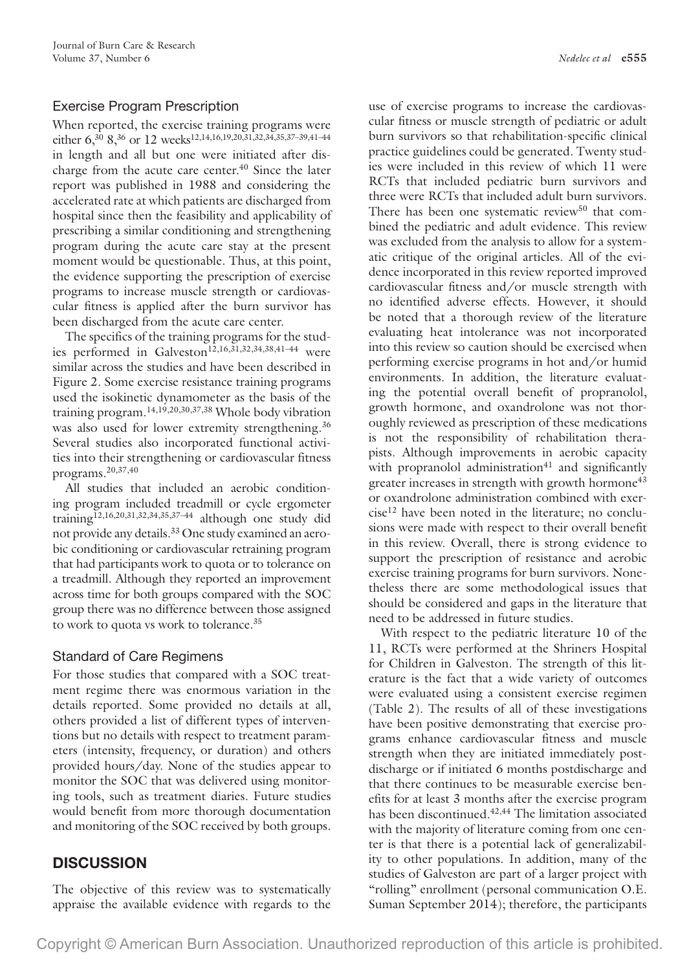# Exercise Program Prescription

When reported, the exercise training programs were either 6,<sup>30</sup> 8,<sup>36</sup> or 12 weeks<sup>12,14,16,19,20,31,32,34,35,37-39,41-44</sup> in length and all but one were initiated after discharge from the acute care center.<sup>40</sup> Since the later report was published in 1988 and considering the accelerated rate at which patients are discharged from hospital since then the feasibility and applicability of prescribing a similar conditioning and strengthening program during the acute care stay at the present moment would be questionable. Thus, at this point, the evidence supporting the prescription of exercise programs to increase muscle strength or cardiovascular fitness is applied after the burn survivor has been discharged from the acute care center.

The specifics of the training programs for the studies performed in Galveston<sup>12,16,31,32,34,38,41-44</sup> were similar across the studies and have been described in Figure 2. Some exercise resistance training programs used the isokinetic dynamometer as the basis of the training program.14,19,20,30,37,38 Whole body vibration was also used for lower extremity strengthening.<sup>36</sup> Several studies also incorporated functional activities into their strengthening or cardiovascular fitness programs.20,37,40

All studies that included an aerobic conditioning program included treadmill or cycle ergometer training12,16,20,31,32,34,35,37–44 although one study did not provide any details.<sup>33</sup> One study examined an aerobic conditioning or cardiovascular retraining program that had participants work to quota or to tolerance on a treadmill. Although they reported an improvement across time for both groups compared with the SOC group there was no difference between those assigned to work to quota vs work to tolerance.<sup>35</sup>

# Standard of Care Regimens

For those studies that compared with a SOC treatment regime there was enormous variation in the details reported. Some provided no details at all, others provided a list of different types of interventions but no details with respect to treatment parameters (intensity, frequency, or duration) and others provided hours/day. None of the studies appear to monitor the SOC that was delivered using monitoring tools, such as treatment diaries. Future studies would benefit from more thorough documentation and monitoring of the SOC received by both groups.

# **DISCUSSION**

The objective of this review was to systematically appraise the available evidence with regards to the

use of exercise programs to increase the cardiovascular fitness or muscle strength of pediatric or adult burn survivors so that rehabilitation-specific clinical practice guidelines could be generated. Twenty studies were included in this review of which 11 were RCTs that included pediatric burn survivors and three were RCTs that included adult burn survivors. There has been one systematic review<sup>50</sup> that combined the pediatric and adult evidence. This review was excluded from the analysis to allow for a systematic critique of the original articles. All of the evidence incorporated in this review reported improved cardiovascular fitness and/or muscle strength with no identified adverse effects. However, it should be noted that a thorough review of the literature evaluating heat intolerance was not incorporated into this review so caution should be exercised when performing exercise programs in hot and/or humid environments. In addition, the literature evaluating the potential overall benefit of propranolol, growth hormone, and oxandrolone was not thoroughly reviewed as prescription of these medications is not the responsibility of rehabilitation therapists. Although improvements in aerobic capacity with propranolol administration $41$  and significantly greater increases in strength with growth hormone<sup>43</sup> or oxandrolone administration combined with exer $cise<sup>12</sup>$  have been noted in the literature; no conclusions were made with respect to their overall benefit in this review. Overall, there is strong evidence to support the prescription of resistance and aerobic exercise training programs for burn survivors. Nonetheless there are some methodological issues that should be considered and gaps in the literature that need to be addressed in future studies.

With respect to the pediatric literature 10 of the 11, RCTs were performed at the Shriners Hospital for Children in Galveston. The strength of this literature is the fact that a wide variety of outcomes were evaluated using a consistent exercise regimen (Table 2). The results of all of these investigations have been positive demonstrating that exercise programs enhance cardiovascular fitness and muscle strength when they are initiated immediately postdischarge or if initiated 6 months postdischarge and that there continues to be measurable exercise benefits for at least 3 months after the exercise program has been discontinued.<sup>42,44</sup> The limitation associated with the majority of literature coming from one center is that there is a potential lack of generalizability to other populations. In addition, many of the studies of Galveston are part of a larger project with "rolling" enrollment (personal communication O.E. Suman September 2014); therefore, the participants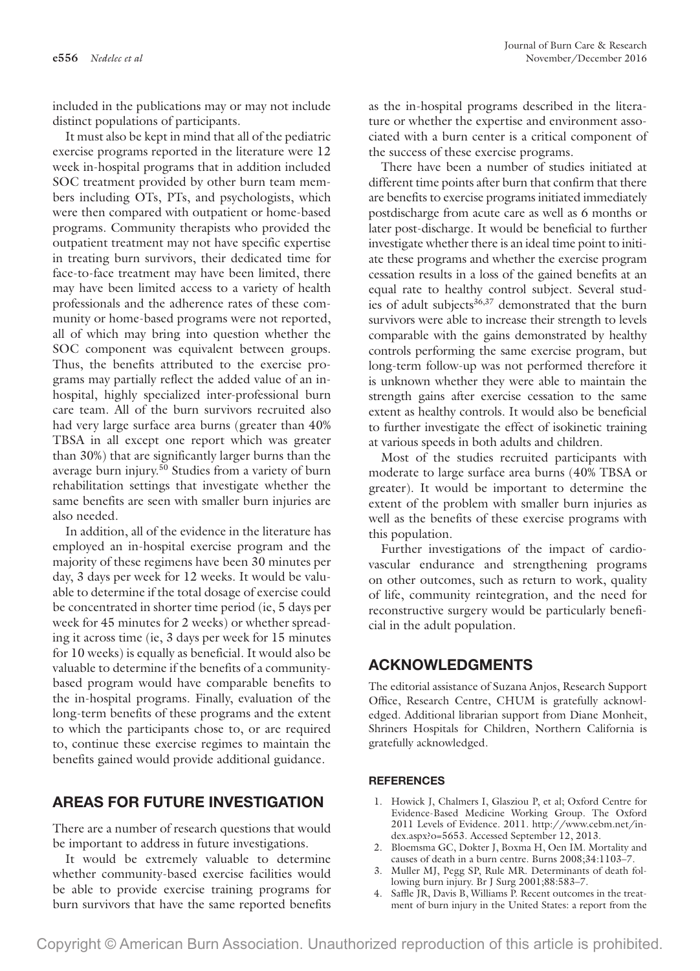included in the publications may or may not include distinct populations of participants.

It must also be kept in mind that all of the pediatric exercise programs reported in the literature were 12 week in-hospital programs that in addition included SOC treatment provided by other burn team members including OTs, PTs, and psychologists, which were then compared with outpatient or home-based programs. Community therapists who provided the outpatient treatment may not have specific expertise in treating burn survivors, their dedicated time for face-to-face treatment may have been limited, there may have been limited access to a variety of health professionals and the adherence rates of these community or home-based programs were not reported, all of which may bring into question whether the SOC component was equivalent between groups. Thus, the benefits attributed to the exercise programs may partially reflect the added value of an inhospital, highly specialized inter-professional burn care team. All of the burn survivors recruited also had very large surface area burns (greater than 40% TBSA in all except one report which was greater than 30%) that are significantly larger burns than the average burn injury.50 Studies from a variety of burn rehabilitation settings that investigate whether the same benefits are seen with smaller burn injuries are also needed.

In addition, all of the evidence in the literature has employed an in-hospital exercise program and the majority of these regimens have been 30 minutes per day, 3 days per week for 12 weeks. It would be valuable to determine if the total dosage of exercise could be concentrated in shorter time period (ie, 5 days per week for 45 minutes for 2 weeks) or whether spreading it across time (ie, 3 days per week for 15 minutes for 10 weeks) is equally as beneficial. It would also be valuable to determine if the benefits of a communitybased program would have comparable benefits to the in-hospital programs. Finally, evaluation of the long-term benefits of these programs and the extent to which the participants chose to, or are required to, continue these exercise regimes to maintain the benefits gained would provide additional guidance.

# **AREAS FOR FUTURE INVESTIGATION**

There are a number of research questions that would be important to address in future investigations.

It would be extremely valuable to determine whether community-based exercise facilities would be able to provide exercise training programs for burn survivors that have the same reported benefits

as the in-hospital programs described in the literature or whether the expertise and environment associated with a burn center is a critical component of the success of these exercise programs.

There have been a number of studies initiated at different time points after burn that confirm that there are benefits to exercise programs initiated immediately postdischarge from acute care as well as 6 months or later post-discharge. It would be beneficial to further investigate whether there is an ideal time point to initiate these programs and whether the exercise program cessation results in a loss of the gained benefits at an equal rate to healthy control subject. Several studies of adult subjects<sup>36,37</sup> demonstrated that the burn survivors were able to increase their strength to levels comparable with the gains demonstrated by healthy controls performing the same exercise program, but long-term follow-up was not performed therefore it is unknown whether they were able to maintain the strength gains after exercise cessation to the same extent as healthy controls. It would also be beneficial to further investigate the effect of isokinetic training at various speeds in both adults and children.

Most of the studies recruited participants with moderate to large surface area burns (40% TBSA or greater). It would be important to determine the extent of the problem with smaller burn injuries as well as the benefits of these exercise programs with this population.

Further investigations of the impact of cardiovascular endurance and strengthening programs on other outcomes, such as return to work, quality of life, community reintegration, and the need for reconstructive surgery would be particularly beneficial in the adult population.

# **ACKNOWLEDGMENTS**

The editorial assistance of Suzana Anjos, Research Support Office, Research Centre, CHUM is gratefully acknowledged. Additional librarian support from Diane Monheit, Shriners Hospitals for Children, Northern California is gratefully acknowledged.

#### **REFERENCES**

- 1. Howick J, Chalmers I, Glasziou P, et al; Oxford Centre for Evidence-Based Medicine Working Group. The Oxford 2011 Levels of Evidence. 2011. [http://www.cebm.net/in](http://www.cebm.net/index.aspx?o=5653)[dex.aspx?o=5653.](http://www.cebm.net/index.aspx?o=5653) Accessed September 12, 2013.
- 2. Bloemsma GC, Dokter J, Boxma H, Oen IM. Mortality and causes of death in a burn centre. Burns 2008;34:1103–7.
- 3. Muller MJ, Pegg SP, Rule MR. Determinants of death following burn injury. Br J Surg 2001;88:583–7.
- 4. Saffle JR, Davis B, Williams P. Recent outcomes in the treatment of burn injury in the United States: a report from the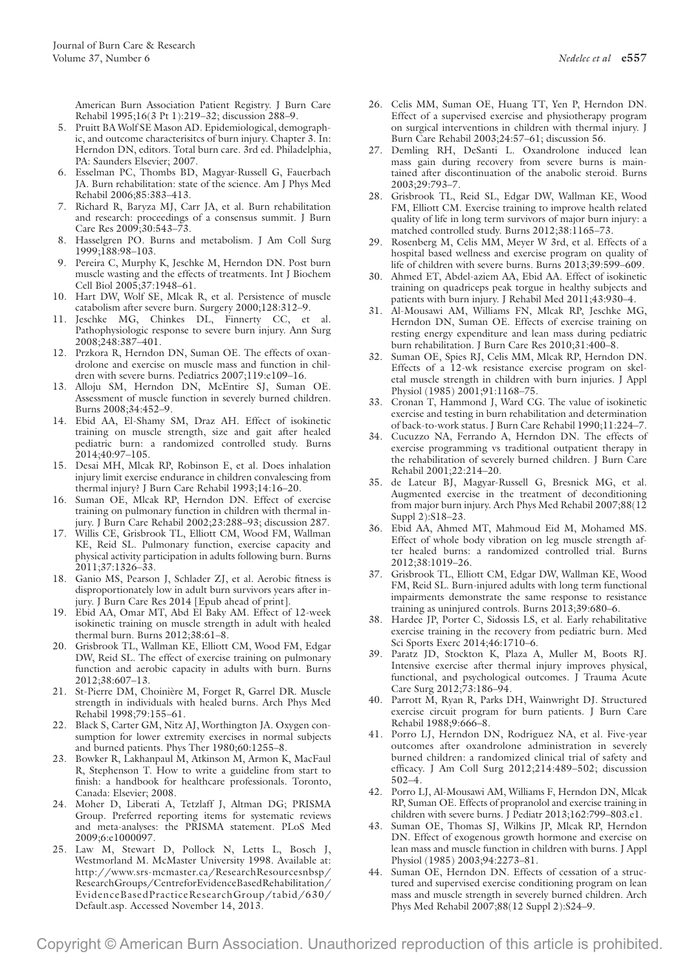American Burn Association Patient Registry. J Burn Care Rehabil 1995;16(3 Pt 1):219–32; discussion 288–9.

- 5. Pruitt BA Wolf SE Mason AD. Epidemiological, demographic, and outcome characterisitcs of burn injury. Chapter 3. In: Herndon DN, editors. Total burn care. 3rd ed. Philadelphia, PA: Saunders Elsevier; 2007.
- 6. Esselman PC, Thombs BD, Magyar-Russell G, Fauerbach JA. Burn rehabilitation: state of the science. Am J Phys Med Rehabil 2006;85:383–413.
- 7. Richard R, Baryza MJ, Carr JA, et al. Burn rehabilitation and research: proceedings of a consensus summit. J Burn Care Res 2009;30:543–73.
- 8. Hasselgren PO. Burns and metabolism. J Am Coll Surg 1999;188:98–103.
- 9. Pereira C, Murphy K, Jeschke M, Herndon DN. Post burn muscle wasting and the effects of treatments. Int J Biochem Cell Biol 2005;37:1948–61.
- 10. Hart DW, Wolf SE, Mlcak R, et al. Persistence of muscle catabolism after severe burn. Surgery 2000;128:312–9.
- 11. Jeschke MG, Chinkes DL, Finnerty CC, et al. Pathophysiologic response to severe burn injury. Ann Surg 2008;248:387–401.
- 12. Przkora R, Herndon DN, Suman OE. The effects of oxandrolone and exercise on muscle mass and function in children with severe burns. Pediatrics 2007;119:e109–16.
- 13. Alloju SM, Herndon DN, McEntire SJ, Suman OE. Assessment of muscle function in severely burned children. Burns 2008;34:452–9.
- 14. Ebid AA, El-Shamy SM, Draz AH. Effect of isokinetic training on muscle strength, size and gait after healed pediatric burn: a randomized controlled study. Burns 2014;40:97–105.
- 15. Desai MH, Mlcak RP, Robinson E, et al. Does inhalation injury limit exercise endurance in children convalescing from thermal injury? J Burn Care Rehabil 1993;14:16–20.
- 16. Suman OE, Mlcak RP, Herndon DN. Effect of exercise training on pulmonary function in children with thermal injury. J Burn Care Rehabil 2002;23:288–93; discussion 287.
- 17. Willis CE, Grisbrook TL, Elliott CM, Wood FM, Wallman KE, Reid SL. Pulmonary function, exercise capacity and physical activity participation in adults following burn. Burns 2011;37:1326–33.
- 18. Ganio MS, Pearson J, Schlader ZJ, et al. Aerobic fitness is disproportionately low in adult burn survivors years after injury. J Burn Care Res 2014 [Epub ahead of print].
- 19. Ebid AA, Omar MT, Abd El Baky AM. Effect of 12-week isokinetic training on muscle strength in adult with healed thermal burn. Burns 2012;38:61–8.
- 20. Grisbrook TL, Wallman KE, Elliott CM, Wood FM, Edgar DW, Reid SL. The effect of exercise training on pulmonary function and aerobic capacity in adults with burn. Burns 2012;38:607–13.
- 21. St-Pierre DM, Choinière M, Forget R, Garrel DR. Muscle strength in individuals with healed burns. Arch Phys Med Rehabil 1998;79:155–61.
- 22. Black S, Carter GM, Nitz AJ, Worthington JA. Oxygen consumption for lower extremity exercises in normal subjects and burned patients. Phys Ther 1980;60:1255–8.
- 23. Bowker R, Lakhanpaul M, Atkinson M, Armon K, MacFaul R, Stephenson T. How to write a guideline from start to finish: a handbook for healthcare professionals. Toronto, Canada: Elsevier; 2008.
- 24. Moher D, Liberati A, Tetzlaff J, Altman DG; PRISMA Group. Preferred reporting items for systematic reviews and meta-analyses: the PRISMA statement. PLoS Med 2009;6:e1000097.
- 25. Law M, Stewart D, Pollock N, Letts L, Bosch J, Westmorland M. McMaster University 1998. Available at: [http://www.srs-mcmaster.ca/ResearchResourcesnbsp/](http://www.srs-mcmaster.ca/ResearchResourcesnbsp/ResearchGroups/CentreforEvidenceBasedRehabilitation/EvidenceBasedPracticeResearchGroup/tabid/630/Default.asp) [ResearchGroups/CentreforEvidenceBasedRehabilitation/](http://www.srs-mcmaster.ca/ResearchResourcesnbsp/ResearchGroups/CentreforEvidenceBasedRehabilitation/EvidenceBasedPracticeResearchGroup/tabid/630/Default.asp) [EvidenceBasedPracticeResearchGroup/tabid/630/](http://www.srs-mcmaster.ca/ResearchResourcesnbsp/ResearchGroups/CentreforEvidenceBasedRehabilitation/EvidenceBasedPracticeResearchGroup/tabid/630/Default.asp) [Default.asp](http://www.srs-mcmaster.ca/ResearchResourcesnbsp/ResearchGroups/CentreforEvidenceBasedRehabilitation/EvidenceBasedPracticeResearchGroup/tabid/630/Default.asp). Accessed November 14, 2013.
- 26. Celis MM, Suman OE, Huang TT, Yen P, Herndon DN. Effect of a supervised exercise and physiotherapy program on surgical interventions in children with thermal injury. J Burn Care Rehabil 2003;24:57–61; discussion 56.
- 27. Demling RH, DeSanti L. Oxandrolone induced lean mass gain during recovery from severe burns is maintained after discontinuation of the anabolic steroid. Burns 2003;29:793–7.
- 28. Grisbrook TL, Reid SL, Edgar DW, Wallman KE, Wood FM, Elliott CM. Exercise training to improve health related quality of life in long term survivors of major burn injury: a matched controlled study. Burns 2012;38:1165–73.
- 29. Rosenberg M, Celis MM, Meyer W 3rd, et al. Effects of a hospital based wellness and exercise program on quality of life of children with severe burns. Burns 2013;39:599–609.
- 30. Ahmed ET, Abdel-aziem AA, Ebid AA. Effect of isokinetic training on quadriceps peak torgue in healthy subjects and patients with burn injury. J Rehabil Med 2011;43:930–4.
- 31. Al-Mousawi AM, Williams FN, Mlcak RP, Jeschke MG, Herndon DN, Suman OE. Effects of exercise training on resting energy expenditure and lean mass during pediatric burn rehabilitation. J Burn Care Res 2010;31:400–8.
- 32. Suman OE, Spies RJ, Celis MM, Mlcak RP, Herndon DN. Effects of a 12-wk resistance exercise program on skeletal muscle strength in children with burn injuries. J Appl Physiol (1985) 2001;91:1168–75.
- 33. Cronan T, Hammond J, Ward CG. The value of isokinetic exercise and testing in burn rehabilitation and determination of back-to-work status. J Burn Care Rehabil 1990;11:224–7.
- 34. Cucuzzo NA, Ferrando A, Herndon DN. The effects of exercise programming vs traditional outpatient therapy in the rehabilitation of severely burned children. J Burn Care Rehabil 2001;22:214–20.
- 35. de Lateur BJ, Magyar-Russell G, Bresnick MG, et al. Augmented exercise in the treatment of deconditioning from major burn injury. Arch Phys Med Rehabil 2007;88(12 Suppl 2):S18–23.
- 36. Ebid AA, Ahmed MT, Mahmoud Eid M, Mohamed MS. Effect of whole body vibration on leg muscle strength after healed burns: a randomized controlled trial. Burns 2012;38:1019–26.
- 37. Grisbrook TL, Elliott CM, Edgar DW, Wallman KE, Wood FM, Reid SL. Burn-injured adults with long term functional impairments demonstrate the same response to resistance training as uninjured controls. Burns 2013;39:680–6.
- 38. Hardee JP, Porter C, Sidossis LS, et al. Early rehabilitative exercise training in the recovery from pediatric burn. Med Sci Sports Exerc 2014;46:1710–6.
- 39. Paratz JD, Stockton K, Plaza A, Muller M, Boots RJ. Intensive exercise after thermal injury improves physical, functional, and psychological outcomes. J Trauma Acute Care Surg 2012;73:186–94.
- 40. Parrott M, Ryan R, Parks DH, Wainwright DJ. Structured exercise circuit program for burn patients. J Burn Care Rehabil 1988;9:666–8.
- 41. Porro LJ, Herndon DN, Rodriguez NA, et al. Five-year outcomes after oxandrolone administration in severely burned children: a randomized clinical trial of safety and efficacy. J Am Coll Surg 2012;214:489–502; discussion 502–4.
- 42. Porro LJ, Al-Mousawi AM, Williams F, Herndon DN, Mlcak RP, Suman OE. Effects of propranolol and exercise training in children with severe burns. J Pediatr 2013;162:799–803.e1.
- 43. Suman OE, Thomas SJ, Wilkins JP, Mlcak RP, Herndon DN. Effect of exogenous growth hormone and exercise on lean mass and muscle function in children with burns. J Appl Physiol (1985) 2003;94:2273–81.
- 44. Suman OE, Herndon DN. Effects of cessation of a structured and supervised exercise conditioning program on lean mass and muscle strength in severely burned children. Arch Phys Med Rehabil 2007;88(12 Suppl 2):S24–9.